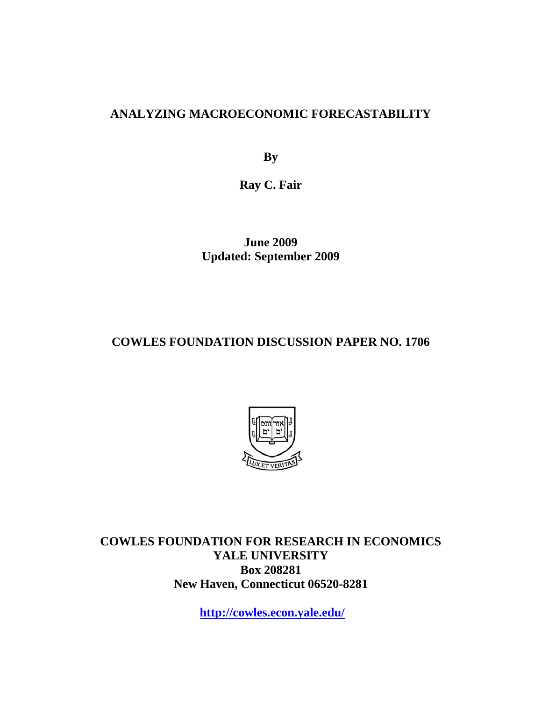# **ANALYZING MACROECONOMIC FORECASTABILITY**

**By** 

**Ray C. Fair** 

**June 2009 Updated: September 2009** 

# **COWLES FOUNDATION DISCUSSION PAPER NO. 1706**



**COWLES FOUNDATION FOR RESEARCH IN ECONOMICS YALE UNIVERSITY Box 208281 New Haven, Connecticut 06520-8281** 

**http://cowles.econ.yale.edu/**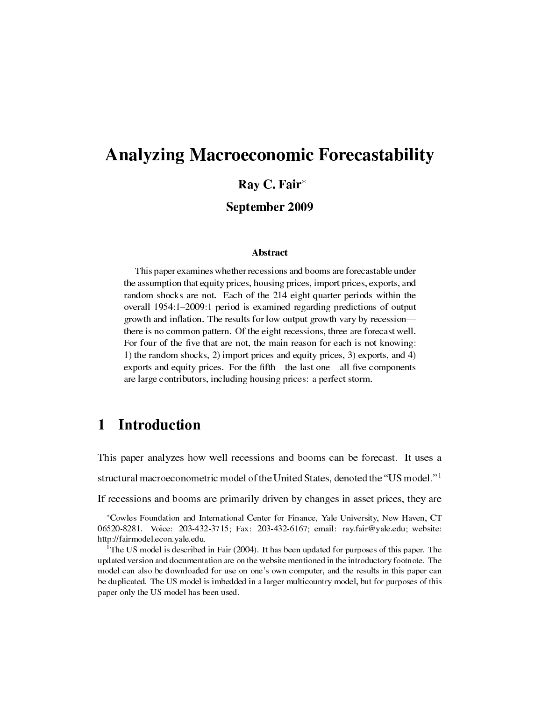# Analyzing Macroeconomic Forecastability

# Ray C. Fair*<sup>∗</sup>*

# September 2009

## Abstract

This paper examines whether recessions and booms are forecastable under the assumption that equity prices, housing prices, import prices, exports, and random shocks are not. Each of the 214 eight-quarter periods within the overall 1954:1-2009:1 period is examined regarding predictions of output growth and inflation. The results for low output growth vary by recession there is no common pattern. Of the eight recessions, three are forecast well. For four of the five that are not, the main reason for each is not knowing: 1) the random shocks, 2) import prices and equity prices, 3) exports, and 4) exports and equity prices. For the fifth—the last one—all five components are large contributors, including housing prices: a perfect storm.

# 1 Introduction

This paper analyzes how well recessions and booms can be forecast. It uses a structural macroeconometric model of the United States, denoted the "US model."<sup>1</sup> If recessions and booms are primarily driven by changes in asset prices, they are

*<sup>∗</sup>*Cowles Foundation and International Center for Finance, Yale University, New Haven, CT 06520-8281. Voice: 203-432-3715; Fax: 203-432-6167; email: ray.fair@yale.edu; website: http://fairmodel.econ.yale.edu.

<sup>&</sup>lt;sup>1</sup>The US model is described in Fair (2004). It has been updated for purposes of this paper. The updated version and documentation are on the website mentioned in the introductory footnote. The model can also be downloaded for use on one's own computer, and the results in this paper can be duplicated. The US model is imbedded in a larger multicountry model, but for purposes of this paper only the US model has been used.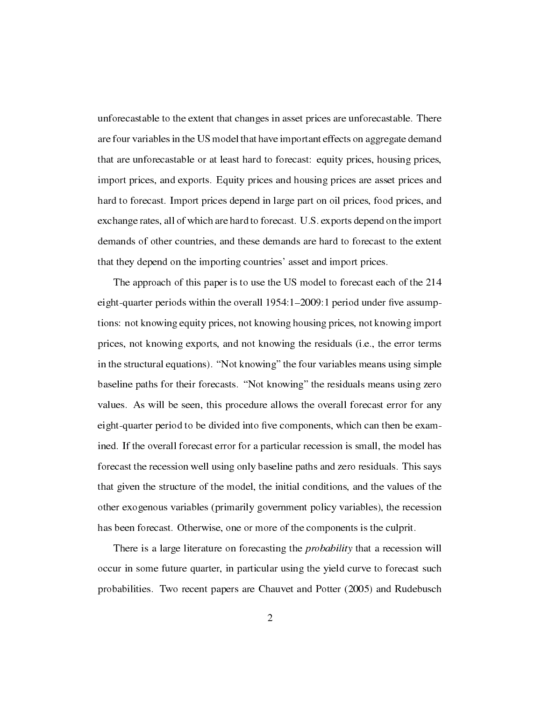unforecastable to the extent that changes in asset prices are unforecastable. There are four variables in the US model that have important effects on aggregate demand that are unforecastable or at least hard to forecast: equity prices, housing prices, import prices, and exports. Equity prices and housing prices are asset prices and hard to forecast. Import prices depend in large part on oil prices, food prices, and exchange rates, all of which are hard to forecast. U.S. exports depend on the import demands of other countries, and these demands are hard to forecast to the extent that they depend on the importing countries' asset and import prices.

The approach of this paper is to use the US model to forecast each of the 214 eight-quarter periods within the overall  $1954:1-2009:1$  period under five assumptions: not knowing equity prices, not knowing housing prices, not knowing import prices, not knowing exports, and not knowing the residuals (i.e., the error terms in the structural equations). "Not knowing" the four variables means using simple baseline paths for their forecasts. "Not knowing" the residuals means using zero values. As will be seen, this procedure allows the overall forecast error for any eight-quarter period to be divided into five components, which can then be examined. If the overall forecast error for a particular recession is small, the model has forecast the recession well using only baseline paths and zero residuals. This says that given the structure of the model, the initial conditions, and the values of the other exogenous variables (primarily government policy variables), the recession has been forecast. Otherwise, one or more of the components is the culprit.

There is a large literature on forecasting the *probability* that a recession will occur in some future quarter, in particular using the yield curve to forecast such probabilities. Two recent papers are Chauvet and Potter (2005) and Rudebusch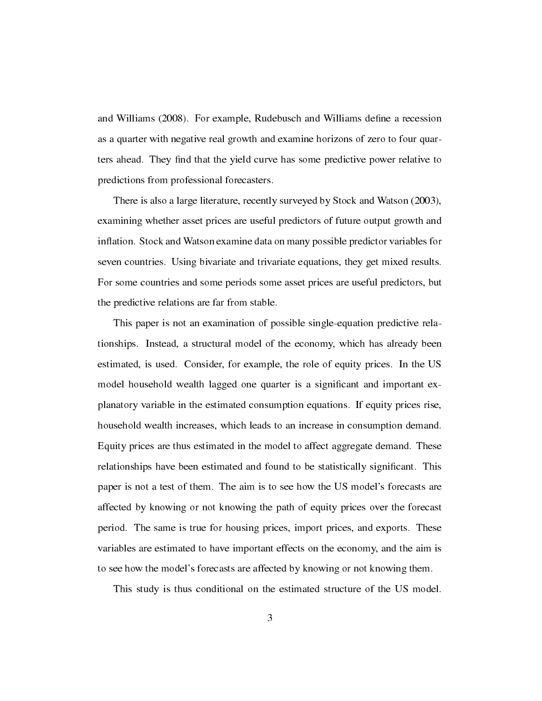and Williams (2008). For example, Rudebusch and Williams define a recession as a quarter with negative real growth and examine horizons of zero to four quarters ahead. They find that the yield curve has some predictive power relative to predictions from professional forecasters.

There is also a large literature, recently surveyed by Stock and Watson (2003), examining whether asset prices are useful predictors of future output growth and inflation. Stock and Watson examine data on many possible predictor variables for seven countries. Using bivariate and trivariate equations, they get mixed results. For some countries and some periods some asset prices are useful predictors, but the predictive relations are far from stable.

This paper is not an examination of possible single-equation predictive relationships. Instead, a structural model of the economy, which has already been estimated, is used. Consider, for example, the role of equity prices. In the US model household wealth lagged one quarter is a significant and important explanatory variable in the estimated consumption equations. If equity prices rise, household wealth increases, which leads to an increase in consumption demand. Equity prices are thus estimated in the model to affect aggregate demand. These relationships have been estimated and found to be statistically signicant. This paper is not a test of them. The aim is to see how the US model's forecasts are affected by knowing or not knowing the path of equity prices over the forecast period. The same is true for housing prices, import prices, and exports. These variables are estimated to have important effects on the economy, and the aim is to see how the model's forecasts are affected by knowing or not knowing them.

This study is thus conditional on the estimated structure of the US model.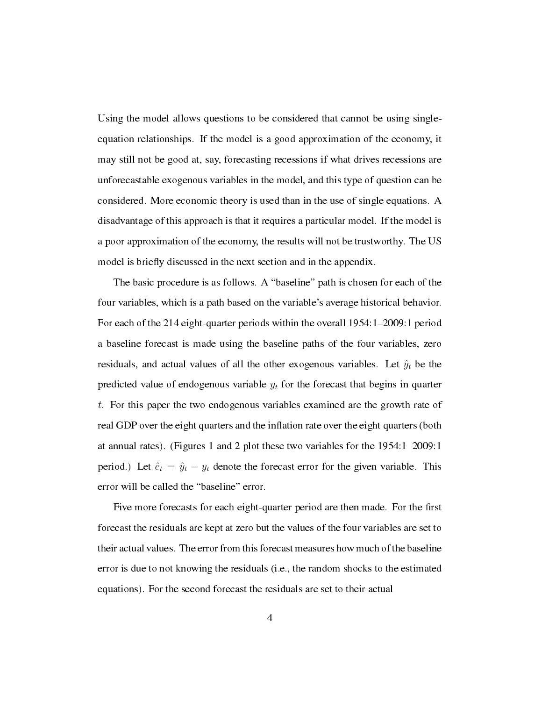Using the model allows questions to be considered that cannot be using singleequation relationships. If the model is a good approximation of the economy, it may still not be good at, say, forecasting recessions if what drives recessions are unforecastable exogenous variables in the model, and this type of question can be considered. More economic theory is used than in the use of single equations. A disadvantage of this approach is that it requires a particular model. If the model is a poor approximation of the economy, the results will not be trustworthy. The US model is briefly discussed in the next section and in the appendix.

The basic procedure is as follows. A "baseline" path is chosen for each of the four variables, which is a path based on the variable's average historical behavior. For each of the 214 eight-quarter periods within the overall  $1954:1-2009:1$  period a baseline forecast is made using the baseline paths of the four variables, zero residuals, and actual values of all the other exogenous variables. Let  $\hat{y}_t$  be the predicted value of endogenous variable *y<sup>t</sup>* for the forecast that begins in quarter *t*. For this paper the two endogenous variables examined are the growth rate of real GDP over the eight quarters and the inflation rate over the eight quarters (both at annual rates). (Figures 1 and 2 plot these two variables for the  $1954:1-2009:1$ period.) Let  $\hat{e}_t = \hat{y}_t - y_t$  denote the forecast error for the given variable. This error will be called the "baseline" error.

Five more forecasts for each eight-quarter period are then made. For the first forecast the residuals are kept at zero but the values of the four variables are set to their actual values. The error from this forecast measures how much of the baseline error is due to not knowing the residuals (i.e., the random shocks to the estimated equations). For the second forecast the residuals are set to their actual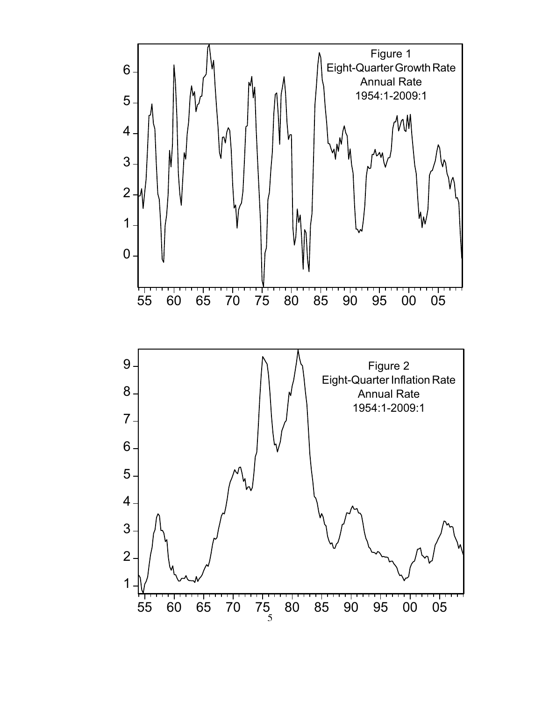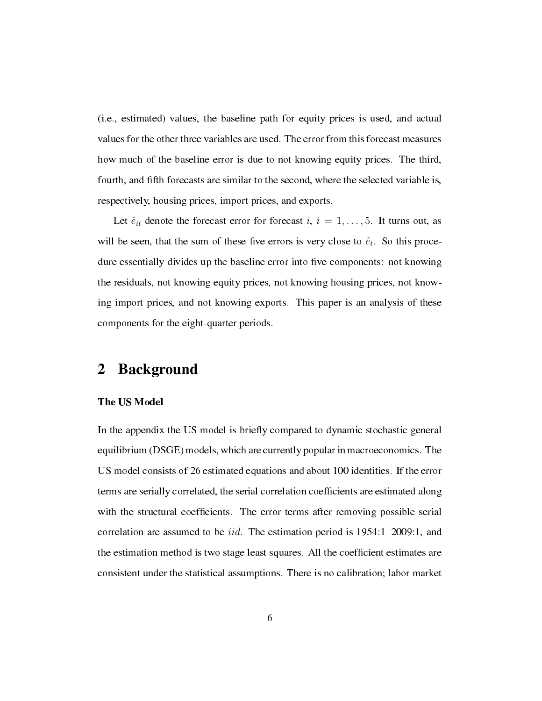(i.e., estimated) values, the baseline path for equity prices is used, and actual values for the other three variables are used. The error from this forecast measures how much of the baseline error is due to not knowing equity prices. The third, fourth, and fth forecasts are similar to the second, where the selected variable is, respectively, housing prices, import prices, and exports.

Let  $\hat{e}_{it}$  denote the forecast error for forecast  $i, i = 1, \ldots, 5$ . It turns out, as will be seen, that the sum of these five errors is very close to  $\hat{e}_t$ . So this procedure essentially divides up the baseline error into five components: not knowing the residuals, not knowing equity prices, not knowing housing prices, not knowing import prices, and not knowing exports. This paper is an analysis of these components for the eight-quarter periods.

# 2 Background

## The US Model

In the appendix the US model is briefly compared to dynamic stochastic general equilibrium (DSGE) models, which are currently popular in macroeconomics. The US model consists of 26 estimated equations and about 100 identities. If the error terms are serially correlated, the serial correlation coefcients are estimated along with the structural coefficients. The error terms after removing possible serial correlation are assumed to be *iid*. The estimation period is 1954:1–2009:1, and the estimation method is two stage least squares. All the coefficient estimates are consistent under the statistical assumptions. There is no calibration; labor market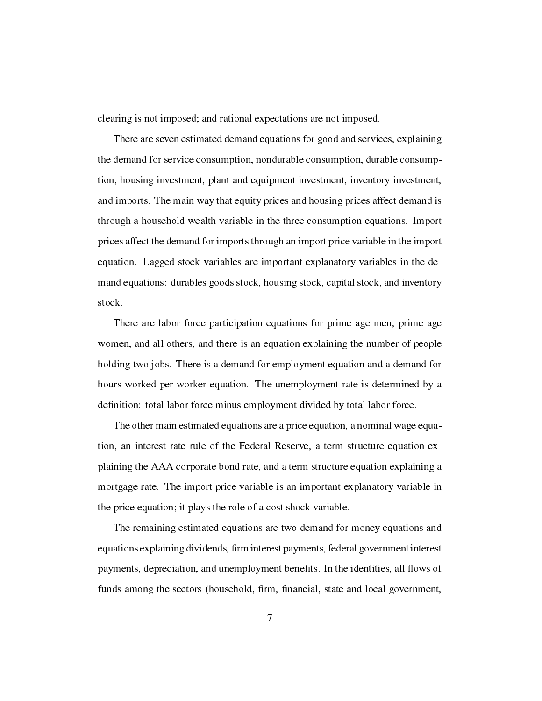clearing is not imposed; and rational expectations are not imposed.

There are seven estimated demand equations for good and services, explaining the demand for service consumption, nondurable consumption, durable consumption, housing investment, plant and equipment investment, inventory investment, and imports. The main way that equity prices and housing prices affect demand is through a household wealth variable in the three consumption equations. Import prices affect the demand for imports through an import price variable in the import equation. Lagged stock variables are important explanatory variables in the demand equations: durables goods stock, housing stock, capital stock, and inventory stock.

There are labor force participation equations for prime age men, prime age women, and all others, and there is an equation explaining the number of people holding two jobs. There is a demand for employment equation and a demand for hours worked per worker equation. The unemployment rate is determined by a definition: total labor force minus employment divided by total labor force.

The other main estimated equations are a price equation, a nominal wage equation, an interest rate rule of the Federal Reserve, a term structure equation explaining the AAA corporate bond rate, and a term structure equation explaining a mortgage rate. The import price variable is an important explanatory variable in the price equation; it plays the role of a cost shock variable.

The remaining estimated equations are two demand for money equations and equations explaining dividends, firm interest payments, federal government interest payments, depreciation, and unemployment benefits. In the identities, all flows of funds among the sectors (household, firm, financial, state and local government,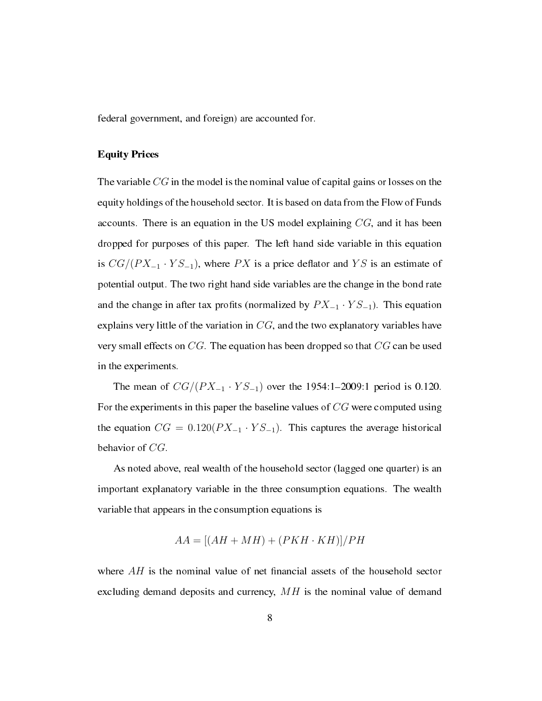federal government, and foreign) are accounted for.

## Equity Prices

The variable *CG* in the model is the nominal value of capital gains or losses on the equity holdings of the household sector. It is based on data from the Flow of Funds accounts. There is an equation in the US model explaining *CG*, and it has been dropped for purposes of this paper. The left hand side variable in this equation is  $CG/(PX_{-1} \cdot YS_{-1})$ , where  $PX$  is a price deflator and  $YS$  is an estimate of potential output. The two right hand side variables are the change in the bond rate and the change in after tax profits (normalized by  $PX_{-1} \cdot YS_{-1}$ ). This equation explains very little of the variation in *CG*, and the two explanatory variables have very small effects on *CG*. The equation has been dropped so that *CG* can be used in the experiments.

The mean of  $CG/(PX_{-1} \cdot YS_{-1})$  over the 1954:1-2009:1 period is 0.120. For the experiments in this paper the baseline values of *CG* were computed using the equation  $CG = 0.120(PX_{-1} \cdot YS_{-1})$ . This captures the average historical behavior of *CG*.

As noted above, real wealth of the household sector (lagged one quarter) is an important explanatory variable in the three consumption equations. The wealth variable that appears in the consumption equations is

$$
AA = [(AH + MH) + (PKH \cdot KH)]/PH
$$

where  $AH$  is the nominal value of net financial assets of the household sector excluding demand deposits and currency, *MH* is the nominal value of demand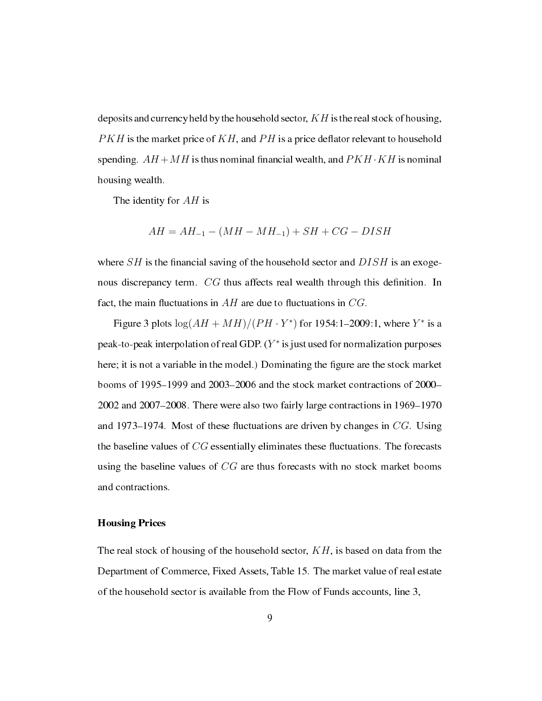deposits and currency held by the household sector, *KH* is the real stock of housing,  $PKH$  is the market price of  $KH$ , and  $PH$  is a price deflator relevant to household spending.  $AH + MH$  is thus nominal financial wealth, and  $PKH \cdot KH$  is nominal housing wealth.

The identity for *AH* is

$$
AH = AH_{-1} - (MH - MH_{-1}) + SH + CG - DISH
$$

where  $SH$  is the financial saving of the household sector and  $DISH$  is an exogenous discrepancy term. *CG* thus affects real wealth through this definition. In fact, the main fluctuations in  $AH$  are due to fluctuations in  $CG$ .

Figure 3 plots  $\log(AH + MH)/(PH \cdot Y^*)$  for 1954:1–2009:1, where  $Y^*$  is a peak-to-peak interpolation of real GDP. (*Y ∗* is just used for normalization purposes here; it is not a variable in the model.) Dominating the figure are the stock market booms of  $1995-1999$  and  $2003-2006$  and the stock market contractions of  $2000 2002$  and  $2007-2008$ . There were also two fairly large contractions in 1969–1970 and 1973–1974. Most of these fluctuations are driven by changes in  $CG$ . Using the baseline values of *CG* essentially eliminates these fluctuations. The forecasts using the baseline values of *CG* are thus forecasts with no stock market booms and contractions.

#### Housing Prices

The real stock of housing of the household sector, *KH*, is based on data from the Department of Commerce, Fixed Assets, Table 15. The market value of real estate of the household sector is available from the Flow of Funds accounts, line 3,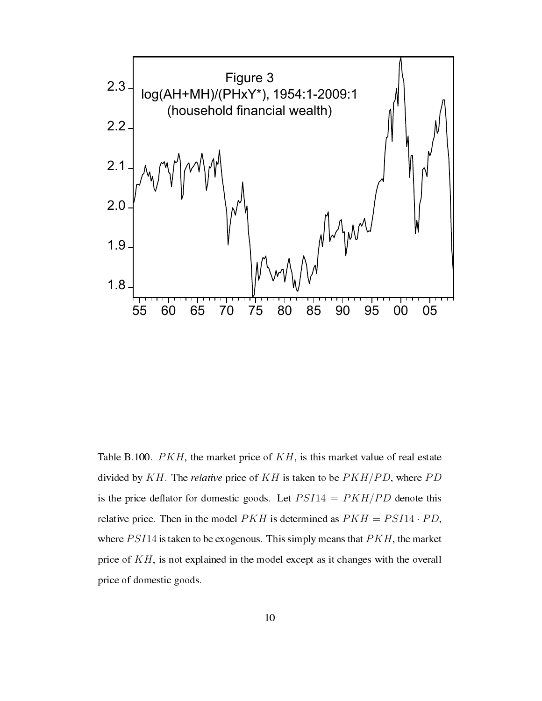

Table B.100. *PKH*, the market price of *KH*, is this market value of real estate divided by *KH*. The relative price of *KH* is taken to be *PKH/PD*, where *P D* is the price deflator for domestic goods. Let  $PSI14 = PKH/PD$  denote this relative price. Then in the model  $PKH$  is determined as  $PKH = PSI14 \cdot PD$ , where *PSI*14 is taken to be exogenous. This simply means that *PKH*, the market price of *KH*, is not explained in the model except as it changes with the overall price of domestic goods.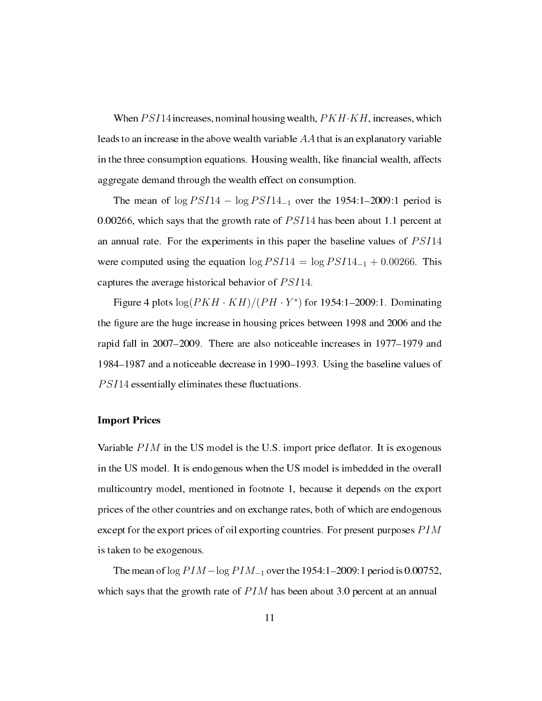When*P SI*14 increases, nominal housing wealth, *PKH·KH*, increases, which leads to an increase in the above wealth variable *AA* that is an explanatory variable in the three consumption equations. Housing wealth, like financial wealth, affects aggregate demand through the wealth effect on consumption.

The mean of log *PSI*14 − log *PSI*14<sub>−1</sub> over the 1954:1–2009:1 period is 0.00266, which says that the growth rate of *P SI*14 has been about 1.1 percent at an annual rate. For the experiments in this paper the baseline values of *P SI*14 were computed using the equation  $\log PSI14 = \log PSI14_{-1} + 0.00266$ . This captures the average historical behavior of *P SI*14.

Figure 4 plots  $\log(PKH \cdot KH)/(PH \cdot Y^*)$  for 1954:1–2009:1. Dominating the figure are the huge increase in housing prices between 1998 and 2006 and the rapid fall in  $2007-2009$ . There are also noticeable increases in  $1977-1979$  and 1984–1987 and a noticeable decrease in 1990–1993. Using the baseline values of *PSI*14 essentially eliminates these fluctuations.

#### Import Prices

Variable *PIM* in the US model is the U.S. import price deflator. It is exogenous in the US model. It is endogenous when the US model is imbedded in the overall multicountry model, mentioned in footnote 1, because it depends on the export prices of the other countries and on exchange rates, both of which are endogenous except for the export prices of oil exporting countries. For present purposes  $PIM$ is taken to be exogenous.

The mean of log *PIM* − log *PIM*<sub>−1</sub> over the 1954:1−2009:1 period is 0.00752, which says that the growth rate of *PIM* has been about 3.0 percent at an annual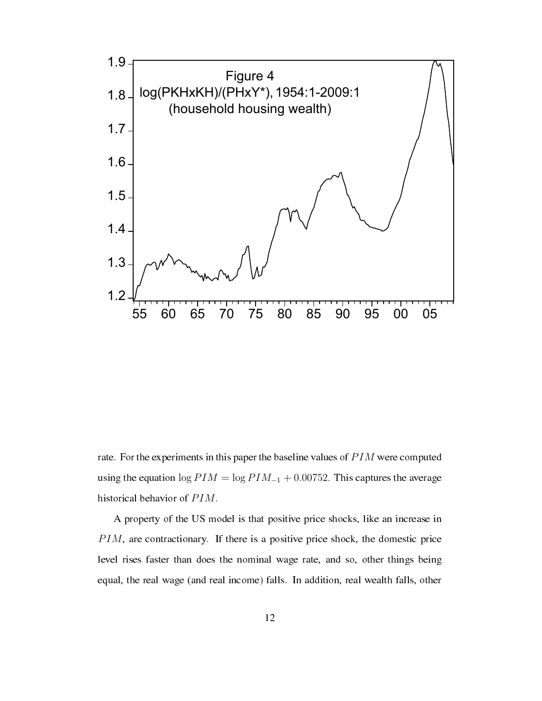

rate. For the experiments in this paper the baseline values of *P IM* were computed using the equation  $\log P I M = \log P I M_{-1} + 0.00752$ . This captures the average historical behavior of *P IM*.

A property of the US model is that positive price shocks, like an increase in *PIM*, are contractionary. If there is a positive price shock, the domestic price level rises faster than does the nominal wage rate, and so, other things being equal, the real wage (and real income) falls. In addition, real wealth falls, other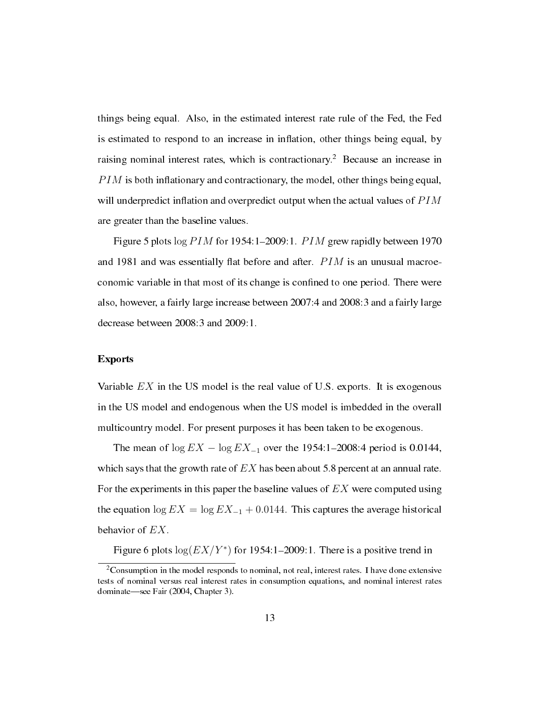things being equal. Also, in the estimated interest rate rule of the Fed, the Fed is estimated to respond to an increase in inflation, other things being equal, by raising nominal interest rates, which is contractionary.<sup>2</sup> Because an increase in *PIM* is both inflationary and contractionary, the model, other things being equal, will underpredict inflation and overpredict output when the actual values of  $PIM$ are greater than the baseline values.

Figure 5 plots  $\log PIM$  for 1954:1–2009:1. *PIM* grew rapidly between 1970 and 1981 and was essentially flat before and after. *PIM* is an unusual macroeconomic variable in that most of its change is confined to one period. There were also, however, a fairly large increase between 2007:4 and 2008:3 and a fairly large decrease between 2008:3 and 2009:1.

## Exports

Variable *EX* in the US model is the real value of U.S. exports. It is exogenous in the US model and endogenous when the US model is imbedded in the overall multicountry model. For present purposes it has been taken to be exogenous.

The mean of  $\log EX - \log EX_{-1}$  over the 1954:1–2008:4 period is 0.0144, which says that the growth rate of *EX* has been about 5.8 percent at an annual rate. For the experiments in this paper the baseline values of *EX* were computed using the equation  $\log EX = \log EX_{-1} + 0.0144$ . This captures the average historical behavior of *EX*.

Figure 6 plots  $log(EX/Y^*)$  for 1954:1–2009:1. There is a positive trend in

 $2$ Consumption in the model responds to nominal, not real, interest rates. I have done extensive tests of nominal versus real interest rates in consumption equations, and nominal interest rates dominate—see Fair (2004, Chapter 3).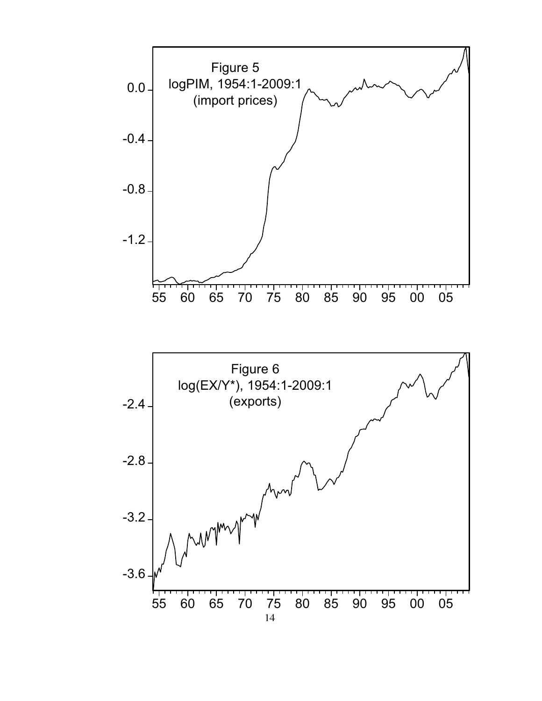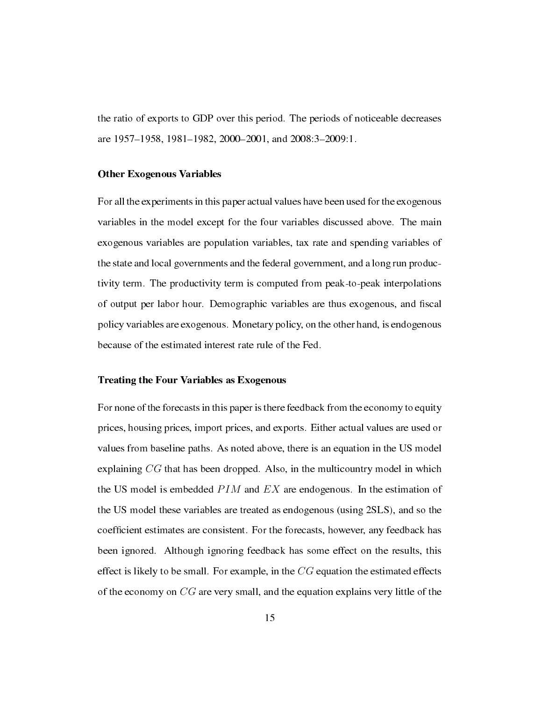the ratio of exports to GDP over this period. The periods of noticeable decreases are 1957–1958, 1981–1982, 2000–2001, and 2008:3-2009:1.

#### Other Exogenous Variables

For all the experiments in this paper actual values have been used for the exogenous variables in the model except for the four variables discussed above. The main exogenous variables are population variables, tax rate and spending variables of the state and local governments and the federal government, and a long run productivity term. The productivity term is computed from peak-to-peak interpolations of output per labor hour. Demographic variables are thus exogenous, and fiscal policy variables are exogenous. Monetary policy, on the other hand, is endogenous because of the estimated interest rate rule of the Fed.

## Treating the Four Variables as Exogenous

For none of the forecasts in this paper is there feedback from the economy to equity prices, housing prices, import prices, and exports. Either actual values are used or values from baseline paths. As noted above, there is an equation in the US model explaining *CG* that has been dropped. Also, in the multicountry model in which the US model is embedded *P IM* and *EX* are endogenous. In the estimation of the US model these variables are treated as endogenous (using 2SLS), and so the coefficient estimates are consistent. For the forecasts, however, any feedback has been ignored. Although ignoring feedback has some effect on the results, this effect is likely to be small. For example, in the *CG* equation the estimated effects of the economy on *CG* are very small, and the equation explains very little of the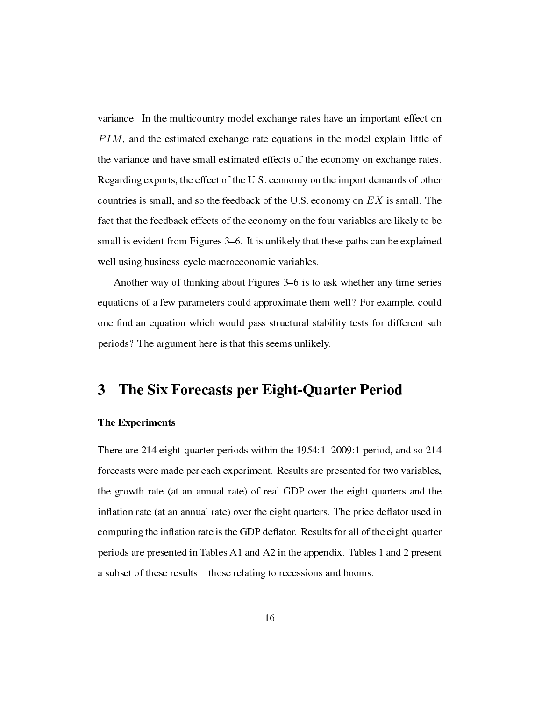variance. In the multicountry model exchange rates have an important effect on *PIM*, and the estimated exchange rate equations in the model explain little of the variance and have small estimated effects of the economy on exchange rates. Regarding exports, the effect of the U.S. economy on the import demands of other countries is small, and so the feedback of the U.S. economy on *EX* is small. The fact that the feedback effects of the economy on the four variables are likely to be small is evident from Figures 3–6. It is unlikely that these paths can be explained well using business-cycle macroeconomic variables.

Another way of thinking about Figures 3–6 is to ask whether any time series equations of a few parameters could approximate them well? For example, could one find an equation which would pass structural stability tests for different sub periods? The argument here is that this seems unlikely.

# 3 The Six Forecasts per Eight-Quarter Period

## The Experiments

There are 214 eight-quarter periods within the  $1954:1-2009:1$  period, and so 214 forecasts were made per each experiment. Results are presented for two variables, the growth rate (at an annual rate) of real GDP over the eight quarters and the inflation rate (at an annual rate) over the eight quarters. The price deflator used in computing the inflation rate is the GDP deflator. Results for all of the eight-quarter periods are presented in Tables A1 and A2 in the appendix. Tables 1 and 2 present a subset of these results—those relating to recessions and booms.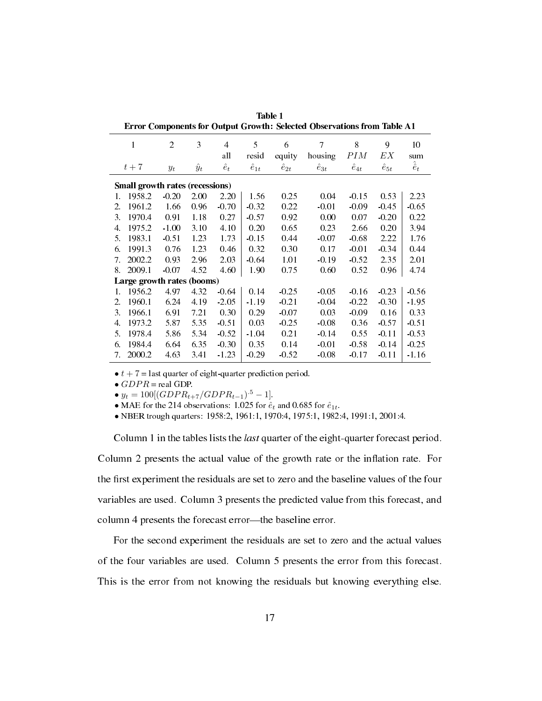| еттог сотрошны юг ошрат сголит, эсисиса орже тайону нош тари ле |                            |                |             |             |                |                |                |                |                |                   |  |  |  |  |
|-----------------------------------------------------------------|----------------------------|----------------|-------------|-------------|----------------|----------------|----------------|----------------|----------------|-------------------|--|--|--|--|
|                                                                 | 1                          | $\overline{2}$ | 3           | 4<br>all    | 5<br>resid     | 6<br>equity    | 7<br>housing   | 8<br>PIM       | 9<br>EΧ        | 10<br>sum         |  |  |  |  |
|                                                                 | $t+7$                      |                | $\hat{y}_t$ | $\hat{e}_t$ | $\hat{e}_{1t}$ | $\hat{e}_{2t}$ | $\hat{e}_{3t}$ | $\hat{e}_{4t}$ | $\hat{e}_{5t}$ | $\hat{\hat{e}}_t$ |  |  |  |  |
|                                                                 |                            | $y_t$          |             |             |                |                |                |                |                |                   |  |  |  |  |
| <b>Small growth rates (recessions)</b>                          |                            |                |             |             |                |                |                |                |                |                   |  |  |  |  |
| 1.                                                              | 1958.2                     | $-0.20$        | 2.00        | 2.20        | 1.56           | 0.25           | 0.04           | $-0.15$        | 0.53           | 2.23              |  |  |  |  |
| 2.                                                              | 1961.2                     | 1.66           | 0.96        | $-0.70$     | $-0.32$        | 0.22           | $-0.01$        | $-0.09$        | $-0.45$        | $-0.65$           |  |  |  |  |
| 3.                                                              | 1970.4                     | 0.91           | 1.18        | 0.27        | $-0.57$        | 0.92           | 0.00           | 0.07           | $-0.20$        | 0.22              |  |  |  |  |
| 4.                                                              | 1975.2                     | $-1.00$        | 3.10        | 4.10        | 0.20           | 0.65           | 0.23           | 2.66           | 0.20           | 3.94              |  |  |  |  |
| 5.                                                              | 1983.1                     | $-0.51$        | 1.23        | 1.73        | $-0.15$        | 0.44           | $-0.07$        | $-0.68$        | 2.22           | 1.76              |  |  |  |  |
| 6.                                                              | 1991.3                     | 0.76           | 1.23        | 0.46        | 0.32           | 0.30           | 0.17           | $-0.01$        | $-0.34$        | 0.44              |  |  |  |  |
| 7.                                                              | 2002.2                     | 0.93           | 2.96        | 2.03        | $-0.64$        | 1.01           | $-0.19$        | $-0.52$        | 2.35           | 2.01              |  |  |  |  |
| 8.                                                              | 2009.1                     | $-0.07$        | 4.52        | 4.60        | 1.90           | 0.75           | 0.60           | 0.52           | 0.96           | 4.74              |  |  |  |  |
|                                                                 | Large growth rates (booms) |                |             |             |                |                |                |                |                |                   |  |  |  |  |
| 1.                                                              | 1956.2                     | 4.97           | 4.32        | $-0.64$     | 0.14           | $-0.25$        | $-0.05$        | $-0.16$        | $-0.23$        | $-0.56$           |  |  |  |  |
| $2_{-}$                                                         | 1960.1                     | 6.24           | 4.19        | $-2.05$     | $-1.19$        | $-0.21$        | $-0.04$        | $-0.22$        | $-0.30$        | $-1.95$           |  |  |  |  |
| 3.                                                              | 1966.1                     | 6.91           | 7.21        | 0.30        | 0.29           | $-0.07$        | 0.03           | $-0.09$        | 0.16           | 0.33              |  |  |  |  |
| 4.                                                              | 1973.2                     | 5.87           | 5.35        | $-0.51$     | 0.03           | $-0.25$        | $-0.08$        | 0.36           | $-0.57$        | $-0.51$           |  |  |  |  |
| 5.                                                              | 1978.4                     | 5.86           | 5.34        | $-0.52$     | $-1.04$        | 0.21           | $-0.14$        | 0.55           | $-0.11$        | $-0.53$           |  |  |  |  |
| 6.                                                              | 1984.4                     | 6.64           | 6.35        | $-0.30$     | 0.35           | 0.14           | $-0.01$        | $-0.58$        | $-0.14$        | $-0.25$           |  |  |  |  |
| 7.                                                              | 2000.2                     | 4.63           | 3.41        | $-1.23$     | $-0.29$        | $-0.52$        | $-0.08$        | $-0.17$        | $-0.11$        | $-1.16$           |  |  |  |  |

Table 1 Error Components for Output Growth: Selected Observations from Table A1

 $\bullet$   $t + 7$  = last quarter of eight-quarter prediction period.

*• GDP R* = real GDP.

 $\bullet$  *y*<sub>*t*</sub> = 100[(*GDPR*<sub>*t*+7</sub>/*GDPR*<sub>*t*−1</sub>)</sub>.<sup>5</sup> − 1].

• MAE for the 214 observations: 1.025 for  $\hat{e}_t$  and 0.685 for  $\hat{e}_{1t}$ .

*•* NBER trough quarters: 1958:2, 1961:1, 1970:4, 1975:1, 1982:4, 1991:1, 2001:4.

Column 1 in the tables lists the last quarter of the eight-quarter forecast period. Column 2 presents the actual value of the growth rate or the inflation rate. For the first experiment the residuals are set to zero and the baseline values of the four variables are used. Column 3 presents the predicted value from this forecast, and column 4 presents the forecast error—the baseline error.

For the second experiment the residuals are set to zero and the actual values of the four variables are used. Column 5 presents the error from this forecast. This is the error from not knowing the residuals but knowing everything else.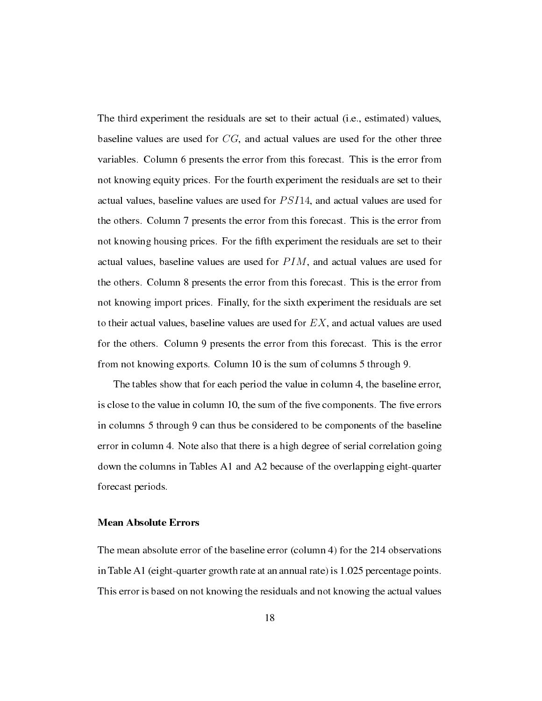The third experiment the residuals are set to their actual (i.e., estimated) values, baseline values are used for *CG*, and actual values are used for the other three variables. Column 6 presents the error from this forecast. This is the error from not knowing equity prices. For the fourth experiment the residuals are set to their actual values, baseline values are used for *P SI*14, and actual values are used for the others. Column 7 presents the error from this forecast. This is the error from not knowing housing prices. For the fth experiment the residuals are set to their actual values, baseline values are used for *P IM*, and actual values are used for the others. Column 8 presents the error from this forecast. This is the error from not knowing import prices. Finally, for the sixth experiment the residuals are set to their actual values, baseline values are used for *EX*, and actual values are used for the others. Column 9 presents the error from this forecast. This is the error from not knowing exports. Column 10 is the sum of columns 5 through 9.

The tables show that for each period the value in column 4, the baseline error, is close to the value in column 10, the sum of the five components. The five errors in columns 5 through 9 can thus be considered to be components of the baseline error in column 4. Note also that there is a high degree of serial correlation going down the columns in Tables A1 and A2 because of the overlapping eight-quarter forecast periods.

## Mean Absolute Errors

The mean absolute error of the baseline error (column 4) for the 214 observations in Table A1 (eight-quarter growth rate at an annual rate) is 1.025 percentage points. This error is based on not knowing the residuals and not knowing the actual values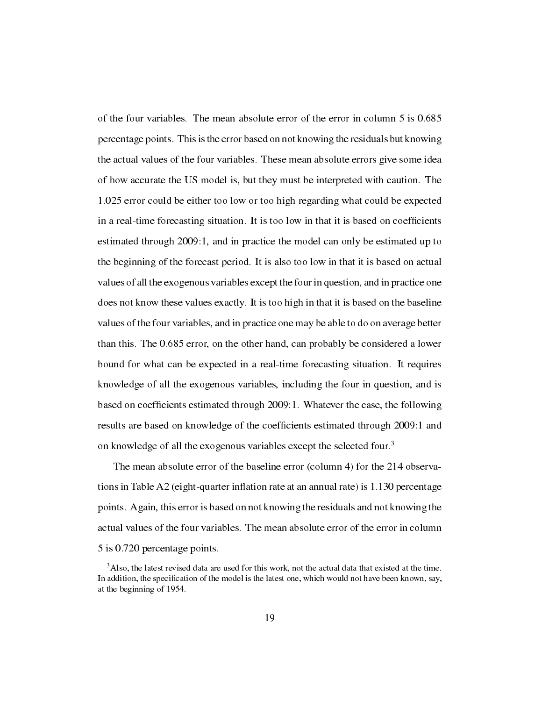of the four variables. The mean absolute error of the error in column 5 is 0.685 percentage points. This is the error based on not knowing the residuals but knowing the actual values of the four variables. These mean absolute errors give some idea of how accurate the US model is, but they must be interpreted with caution. The 1.025 error could be either too low or too high regarding what could be expected in a real-time forecasting situation. It is too low in that it is based on coefficients estimated through 2009:1, and in practice the model can only be estimated up to the beginning of the forecast period. It is also too low in that it is based on actual values of all the exogenous variables except the four in question, and in practice one does not know these values exactly. It is too high in that it is based on the baseline values of the four variables, and in practice one may be able to do on average better than this. The 0.685 error, on the other hand, can probably be considered a lower bound for what can be expected in a real-time forecasting situation. It requires knowledge of all the exogenous variables, including the four in question, and is based on coefficients estimated through 2009:1. Whatever the case, the following results are based on knowledge of the coefficients estimated through 2009:1 and on knowledge of all the exogenous variables except the selected four.<sup>3</sup>

The mean absolute error of the baseline error (column 4) for the 214 observations in Table A2 (eight-quarter inflation rate at an annual rate) is  $1.130$  percentage points. Again, this error is based on not knowing the residuals and not knowing the actual values of the four variables. The mean absolute error of the error in column 5 is 0.720 percentage points.

<sup>&</sup>lt;sup>3</sup>Also, the latest revised data are used for this work, not the actual data that existed at the time. In addition, the specification of the model is the latest one, which would not have been known, say, at the beginning of 1954.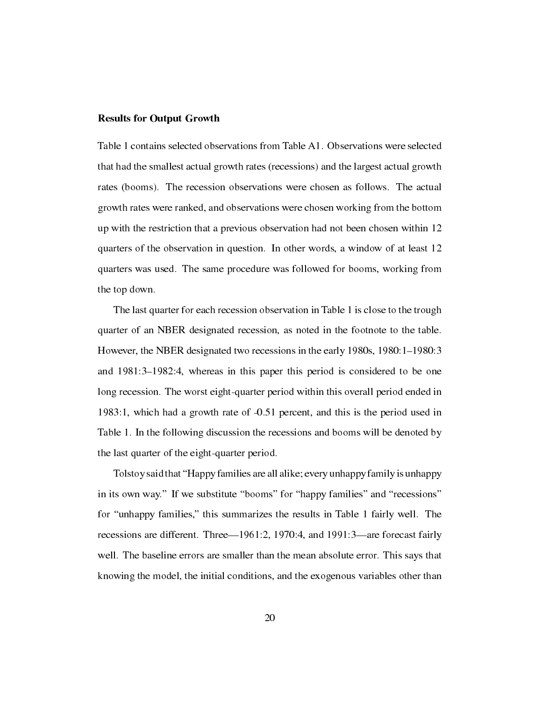#### Results for Output Growth

Table 1 contains selected observations from Table A1. Observations were selected that had the smallest actual growth rates (recessions) and the largest actual growth rates (booms). The recession observations were chosen as follows. The actual growth rates were ranked, and observations were chosen working from the bottom up with the restriction that a previous observation had not been chosen within 12 quarters of the observation in question. In other words, a window of at least 12 quarters was used. The same procedure was followed for booms, working from the top down.

The last quarter for each recession observation in Table 1 is close to the trough quarter of an NBER designated recession, as noted in the footnote to the table. However, the NBER designated two recessions in the early 1980s,  $1980:1-1980:3$ and  $1981:3-1982:4$ , whereas in this paper this period is considered to be one long recession. The worst eight-quarter period within this overall period ended in 1983:1, which had a growth rate of -0.51 percent, and this is the period used in Table 1. In the following discussion the recessions and booms will be denoted by the last quarter of the eight-quarter period.

Tolstoy said that "Happy families are all alike; every unhappy family is unhappy in its own way." If we substitute "booms" for "happy families" and "recessions" for "unhappy families," this summarizes the results in Table 1 fairly well. The recessions are different. Three—1961:2, 1970:4, and 1991:3—are forecast fairly well. The baseline errors are smaller than the mean absolute error. This says that knowing the model, the initial conditions, and the exogenous variables other than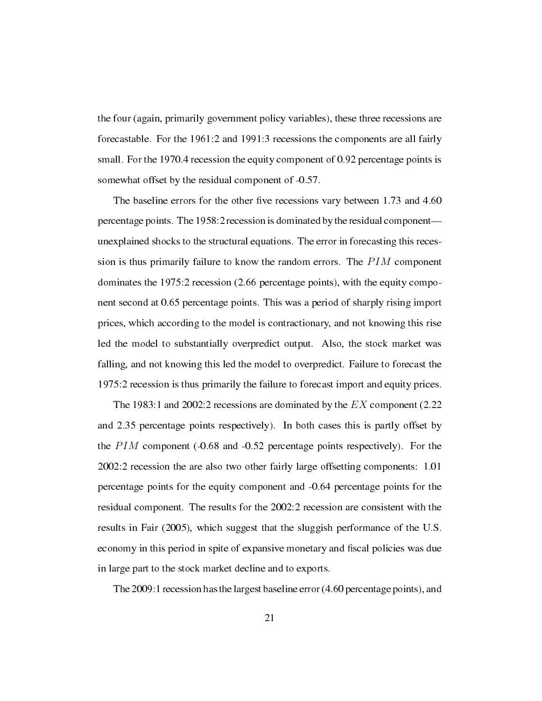the four (again, primarily government policy variables), these three recessions are forecastable. For the 1961:2 and 1991:3 recessions the components are all fairly small. For the 1970.4 recession the equity component of 0.92 percentage points is somewhat offset by the residual component of -0.57.

The baseline errors for the other five recessions vary between 1.73 and 4.60 percentage points. The 1958:2 recession is dominated by the residual component unexplained shocks to the structural equations. The error in forecasting this recession is thus primarily failure to know the random errors. The *P IM* component dominates the 1975:2 recession (2.66 percentage points), with the equity component second at 0.65 percentage points. This was a period of sharply rising import prices, which according to the model is contractionary, and not knowing this rise led the model to substantially overpredict output. Also, the stock market was falling, and not knowing this led the model to overpredict. Failure to forecast the 1975:2 recession is thus primarily the failure to forecast import and equity prices.

The 1983:1 and 2002:2 recessions are dominated by the *EX* component (2.22 and 2.35 percentage points respectively). In both cases this is partly offset by the *PIM* component (-0.68 and -0.52 percentage points respectively). For the 2002:2 recession the are also two other fairly large offsetting components: 1.01 percentage points for the equity component and -0.64 percentage points for the residual component. The results for the 2002:2 recession are consistent with the results in Fair (2005), which suggest that the sluggish performance of the U.S. economy in this period in spite of expansive monetary and fiscal policies was due in large part to the stock market decline and to exports.

The 2009:1 recession has the largest baseline error (4.60 percentage points), and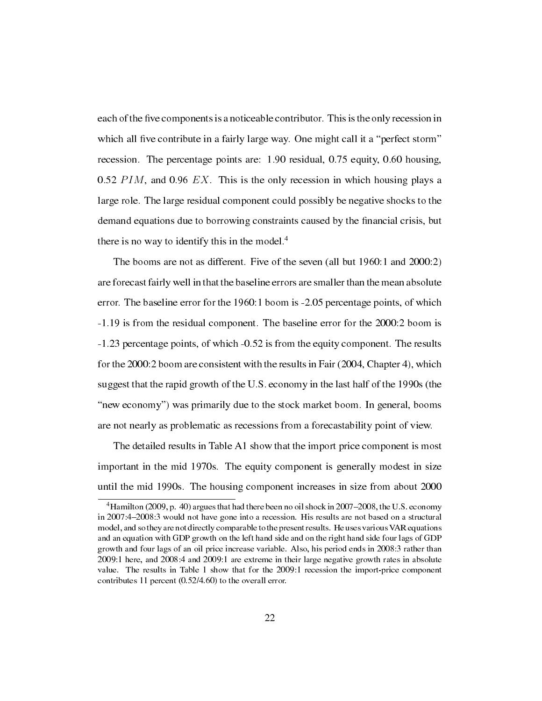each of the five components is a noticeable contributor. This is the only recession in which all five contribute in a fairly large way. One might call it a "perfect storm" recession. The percentage points are: 1.90 residual, 0.75 equity, 0.60 housing, 0.52 *P IM*, and 0.96 *EX*. This is the only recession in which housing plays a large role. The large residual component could possibly be negative shocks to the demand equations due to borrowing constraints caused by the financial crisis, but there is no way to identify this in the model.<sup>4</sup>

The booms are not as different. Five of the seven (all but 1960:1 and 2000:2) are forecast fairly well in that the baseline errors are smaller than the mean absolute error. The baseline error for the 1960:1 boom is -2.05 percentage points, of which -1.19 is from the residual component. The baseline error for the 2000:2 boom is -1.23 percentage points, of which -0.52 is from the equity component. The results for the 2000:2 boom are consistent with the results in Fair (2004, Chapter 4), which suggest that the rapid growth of the U.S. economy in the last half of the 1990s (the "new economy") was primarily due to the stock market boom. In general, booms are not nearly as problematic as recessions from a forecastability point of view.

The detailed results in Table A1 show that the import price component is most important in the mid 1970s. The equity component is generally modest in size until the mid 1990s. The housing component increases in size from about 2000

<sup>&</sup>lt;sup>4</sup> Hamilton (2009, p. 40) argues that had there been no oil shock in  $2007-2008$ , the U.S. economy in 2007:4–2008:3 would not have gone into a recession. His results are not based on a structural model, and so they are not directly comparable to the present results. He uses various VAR equations and an equation with GDP growth on the left hand side and on the right hand side four lags of GDP growth and four lags of an oil price increase variable. Also, his period ends in 2008:3 rather than 2009:1 here, and 2008:4 and 2009:1 are extreme in their large negative growth rates in absolute value. The results in Table 1 show that for the 2009:1 recession the import-price component contributes 11 percent (0.52/4.60) to the overall error.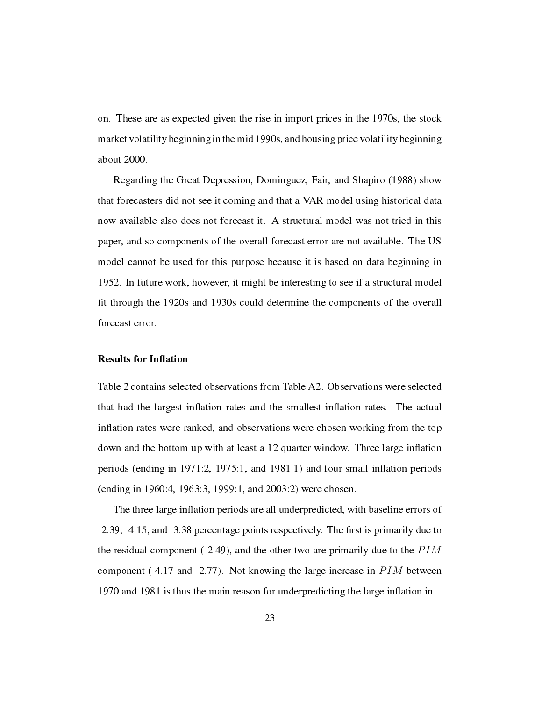on. These are as expected given the rise in import prices in the 1970s, the stock market volatility beginning in the mid 1990s, and housing price volatility beginning about 2000.

Regarding the Great Depression, Dominguez, Fair, and Shapiro (1988) show that forecasters did not see it coming and that a VAR model using historical data now available also does not forecast it. A structural model was not tried in this paper, and so components of the overall forecast error are not available. The US model cannot be used for this purpose because it is based on data beginning in 1952. In future work, however, it might be interesting to see if a structural model fit through the 1920s and 1930s could determine the components of the overall forecast error.

#### **Results for Inflation**

Table 2 contains selected observations from Table A2. Observations were selected that had the largest inflation rates and the smallest inflation rates. The actual inflation rates were ranked, and observations were chosen working from the top down and the bottom up with at least a 12 quarter window. Three large inflation periods (ending in  $1971:2$ ,  $1975:1$ , and  $1981:1$ ) and four small inflation periods (ending in 1960:4, 1963:3, 1999:1, and 2003:2) were chosen.

The three large inflation periods are all underpredicted, with baseline errors of -2.39, -4.15, and -3.38 percentage points respectively. The first is primarily due to the residual component (-2.49), and the other two are primarily due to the *P IM* component (-4.17 and -2.77). Not knowing the large increase in *P IM* between 1970 and 1981 is thus the main reason for underpredicting the large inflation in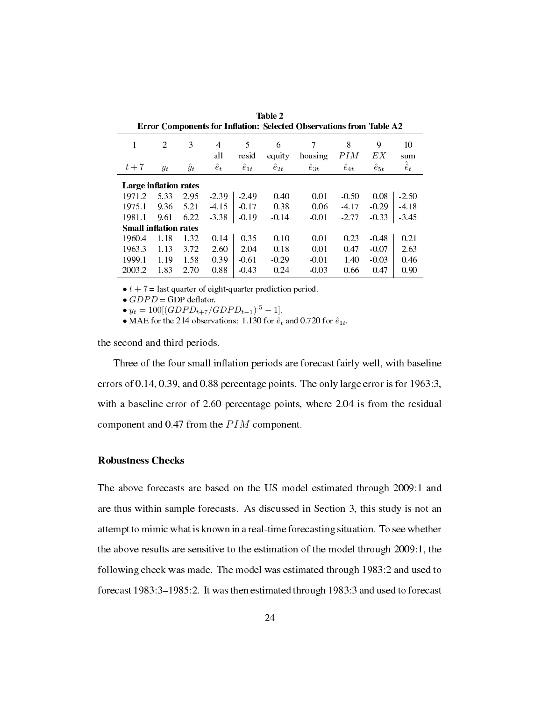|                              |                | л.           |                         |                              |                               |                                |                            |                           |                                |
|------------------------------|----------------|--------------|-------------------------|------------------------------|-------------------------------|--------------------------------|----------------------------|---------------------------|--------------------------------|
| $t+7$                        | $\mathfrak{D}$ | 3            | 4<br>all<br>$\hat{e}_t$ | 5<br>resid<br>$\hat{e}_{1t}$ | 6<br>equity<br>$\hat{e}_{2t}$ | 7<br>housing<br>$\hat{e}_{3t}$ | 8<br>PIM<br>$\hat{e}_{4t}$ | 9<br>ЕX<br>$\hat{e}_{5t}$ | 10<br>sum<br>$\hat{\hat{e}}_t$ |
|                              | $y_t$          | $\ddot{y}_t$ |                         |                              |                               |                                |                            |                           |                                |
| Large inflation rates        |                |              |                         |                              |                               |                                |                            |                           |                                |
| 1971.2                       | 5.33           | 2.95         | $-2.39$                 | $-2.49$                      | 0.40                          | 0.01                           | $-0.50$                    | 0.08                      | $-2.50$                        |
| 1975.1                       | 9.36           | 5.21         | $-4.15$                 | $-0.17$                      | 0.38                          | 0.06                           | $-4.17$                    | $-0.29$                   | $-4.18$                        |
| 1981.1                       | 9.61           | 6.22         | $-3.38$                 | $-0.19$                      | $-0.14$                       | $-0.01$                        | $-2.77$                    | $-0.33$                   | $-3.45$                        |
| <b>Small inflation rates</b> |                |              |                         |                              |                               |                                |                            |                           |                                |
| 1960.4                       | 1.18           | 1.32         | 0.14                    | 0.35                         | 0.10                          | 0.01                           | 0.23                       | $-0.48$                   | 0.21                           |
| 1963.3                       | 1.13           | 3.72         | 2.60                    | 2.04                         | 0.18                          | 0.01                           | 0.47                       | $-0.07$                   | 2.63                           |
| 1999.1                       | 1.19           | 1.58         | 0.39                    | $-0.61$                      | $-0.29$                       | $-0.01$                        | 1.40                       | $-0.03$                   | 0.46                           |
| 2003.2                       | 1.83           | 2.70         | 0.88                    | $-0.43$                      | 0.24                          | $-0.03$                        | 0.66                       | 0.47                      | 0.90                           |
|                              |                |              |                         |                              |                               |                                |                            |                           |                                |

Table 2 Error Components for Inflation: Selected Observations from Table A2

•  $t + 7$  = last quarter of eight-quarter prediction period.

 $\bullet$  *GDPD* = GDP deflator.

 $\bullet$  *y*<sub>*t*</sub> = 100[(*GDPD*<sub>*t*+7</sub>/*GDPD*<sub>*t*−1</sub>)</sub>.<sup>5</sup> − 1].

• MAE for the 214 observations: 1.130 for  $\hat{e}_t$  and 0.720 for  $\hat{e}_{1t}$ .

the second and third periods.

Three of the four small inflation periods are forecast fairly well, with baseline errors of 0.14, 0.39, and 0.88 percentage points. The only large error is for 1963:3, with a baseline error of 2.60 percentage points, where 2.04 is from the residual component and 0.47 from the *P IM* component.

## Robustness Checks

The above forecasts are based on the US model estimated through 2009:1 and are thus within sample forecasts. As discussed in Section 3, this study is not an attempt to mimic what is known in a real-time forecasting situation. To see whether the above results are sensitive to the estimation of the model through 2009:1, the following check was made. The model was estimated through 1983:2 and used to forecast 1983:3-1985:2. It was then estimated through 1983:3 and used to forecast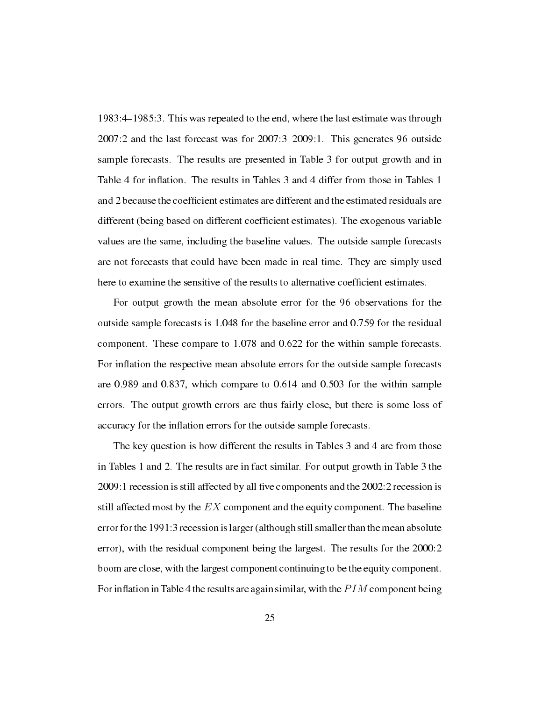1983:4–1985:3. This was repeated to the end, where the last estimate was through  $2007:2$  and the last forecast was for  $2007:3-2009:1$ . This generates 96 outside sample forecasts. The results are presented in Table 3 for output growth and in Table 4 for inflation. The results in Tables 3 and 4 differ from those in Tables 1 and 2 because the coefficient estimates are different and the estimated residuals are different (being based on different coefficient estimates). The exogenous variable values are the same, including the baseline values. The outside sample forecasts are not forecasts that could have been made in real time. They are simply used here to examine the sensitive of the results to alternative coefficient estimates.

For output growth the mean absolute error for the 96 observations for the outside sample forecasts is 1.048 for the baseline error and 0.759 for the residual component. These compare to 1.078 and 0.622 for the within sample forecasts. For inflation the respective mean absolute errors for the outside sample forecasts are 0.989 and 0.837, which compare to 0.614 and 0.503 for the within sample errors. The output growth errors are thus fairly close, but there is some loss of accuracy for the inflation errors for the outside sample forecasts.

The key question is how different the results in Tables 3 and 4 are from those in Tables 1 and 2. The results are in fact similar. For output growth in Table 3 the  $2009$ : 1 recession is still affected by all five components and the  $2002$ : 2 recession is still affected most by the *EX* component and the equity component. The baseline error for the 1991:3 recession is larger (although still smaller than the mean absolute error), with the residual component being the largest. The results for the 2000:2 boom are close, with the largest component continuing to be the equity component. For inflation in Table 4 the results are again similar, with the *PIM* component being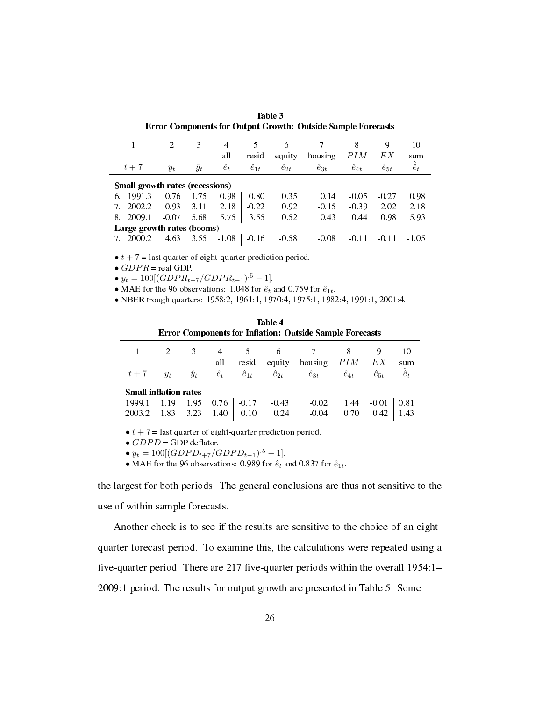| <b>Error Components for Output Growth: Outside Sample Forecasts</b> |                               |             |             |                |                |                  |                |                |                   |  |  |  |  |
|---------------------------------------------------------------------|-------------------------------|-------------|-------------|----------------|----------------|------------------|----------------|----------------|-------------------|--|--|--|--|
|                                                                     | $\mathfrak{D}_{\mathfrak{p}}$ | 3           | 4<br>all    | 5<br>resid     | 6<br>equity    | housing          | 8<br>PIM       | 9<br>ЕX        | 10<br>sum         |  |  |  |  |
| $t+7$                                                               | $y_t$                         | $\hat{y}_t$ | $\hat{e}_t$ | $\hat{e}_{1t}$ | $\hat{e}_{2t}$ | $\tilde{e}_{3t}$ | $\hat{e}_{4t}$ | $\hat{e}_{5t}$ | $\hat{\hat{e}}_t$ |  |  |  |  |
| <b>Small growth rates (recessions)</b>                              |                               |             |             |                |                |                  |                |                |                   |  |  |  |  |
| 1991.3<br>6.                                                        | 0.76                          | 1.75        | 0.98        | 0.80           | 0.35           | 0.14             | $-0.05$        | $-0.27$        | 0.98              |  |  |  |  |
| 2002.2<br>7.                                                        | 0.93                          | 3.11        | 2.18        | $-0.22$        | 0.92           | $-0.15$          | $-0.39$        | 2.02           | 2.18              |  |  |  |  |
| 2009.1<br>8.                                                        | $-0.07$                       | 5.68        | 5.75        | 3.55           | 0.52           | 0.43             | 0.44           | 0.98           | 5.93              |  |  |  |  |
| Large growth rates (booms)                                          |                               |             |             |                |                |                  |                |                |                   |  |  |  |  |
| 2000.2                                                              | 4.63                          | 3.55        | $-1.08$     | $-0.16$        | $-0.58$        | $-0.08$          | $-0.11$        | $-0.11$        | $-1.05$           |  |  |  |  |

Table 3 Error Components for Output Growth: Outside Sample Forecasts

 $\bullet$   $t + 7$  = last quarter of eight-quarter prediction period.

*• GDP R* = real GDP.

 $\bullet$  *y*<sub>*t*</sub> = 100[(*GDPR*<sub>*t*+7</sub>/*GDPR*<sub>*t*−1</sub>)</sub>.<sup>5</sup> − 1].

• MAE for the 96 observations: 1.048 for  $\hat{e}_t$  and 0.759 for  $\hat{e}_{1t}$ .

*•* NBER trough quarters: 1958:2, 1961:1, 1970:4, 1975:1, 1982:4, 1991:1, 2001:4.

|                  | Table 4<br><b>Error Components for Inflation: Outside Sample Forecasts</b> |              |              |                 |                 |                    |                |                 |                   |  |  |  |  |  |  |
|------------------|----------------------------------------------------------------------------|--------------|--------------|-----------------|-----------------|--------------------|----------------|-----------------|-------------------|--|--|--|--|--|--|
|                  |                                                                            | 3            | 4<br>all     | 5<br>resid      | 6<br>equity     | housing            | 8<br>PІM       | 9<br>ЕX         | 10<br>sum         |  |  |  |  |  |  |
| $t+7$            | $y_t$                                                                      | $\ddot{y}_t$ | $\hat{e}_t$  | $\hat{e}_{1t}$  | $\hat{e}_{2t}$  | $\hat{e}_{3t}$     | $\hat{e}_{4t}$ | $\hat{e}_{5t}$  | $\hat{\hat{e}}_t$ |  |  |  |  |  |  |
|                  | <b>Small inflation rates</b>                                               |              |              |                 |                 |                    |                |                 |                   |  |  |  |  |  |  |
| 1999.1<br>2003.2 | 1.19<br>1.83                                                               | 1.95<br>3.23 | 0.76<br>1.40 | $-0.17$<br>0.10 | $-0.43$<br>0.24 | $-0.02$<br>$-0.04$ | 1.44<br>0.70   | $-0.01$<br>0.42 | 0.81<br>1.43      |  |  |  |  |  |  |

 $\bullet$   $t + 7$  = last quarter of eight-quarter prediction period.

 $\bullet$  *GDPD* = GDP deflator.

 $\bullet$  *y*<sub>*t*</sub> = 100[(*GDPD*<sub>*t*+7</sub>/*GDPD*<sub>*t*−1</sub>)<sup>.5</sup> − 1].

• MAE for the 96 observations: 0.989 for  $\hat{e}_t$  and 0.837 for  $\hat{e}_{1t}$ .

the largest for both periods. The general conclusions are thus not sensitive to the use of within sample forecasts.

Another check is to see if the results are sensitive to the choice of an eightquarter forecast period. To examine this, the calculations were repeated using a five-quarter period. There are 217 five-quarter periods within the overall 1954:1-2009:1 period. The results for output growth are presented in Table 5. Some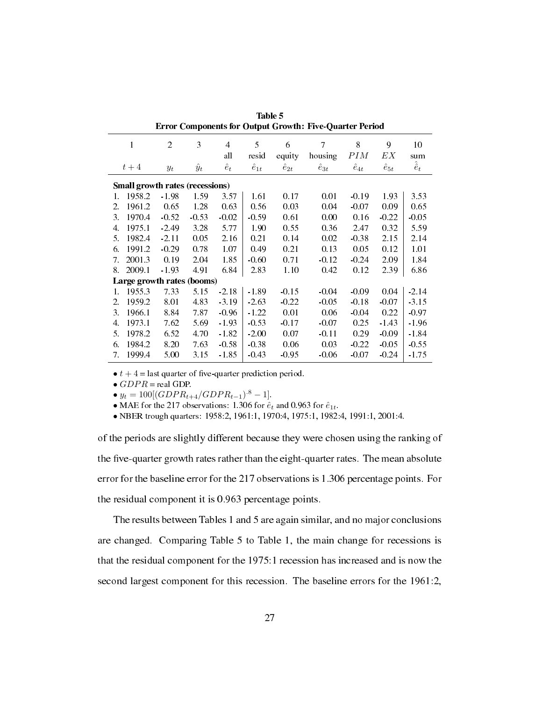| components for output oroman fine<br>yuur ive e vervu |                                 |                |             |             |                |                |                |                |                |                   |  |  |  |
|-------------------------------------------------------|---------------------------------|----------------|-------------|-------------|----------------|----------------|----------------|----------------|----------------|-------------------|--|--|--|
|                                                       | 1                               | $\overline{2}$ | 3           | 4           | 5              | 6              | 7              | 8              | 9              | 10                |  |  |  |
|                                                       |                                 |                |             | all         | resid          | equity         | housing        | PIM            | EX             | sum               |  |  |  |
|                                                       | $t+4$                           | $y_t$          | $\hat{y}_t$ | $\hat{e}_t$ | $\hat{e}_{1t}$ | $\hat{e}_{2t}$ | $\hat{e}_{3t}$ | $\hat{e}_{4t}$ | $\hat{e}_{5t}$ | $\hat{\hat{e}}_t$ |  |  |  |
|                                                       | Small growth rates (recessions) |                |             |             |                |                |                |                |                |                   |  |  |  |
| 1.                                                    | 1958.2                          | $-1.98$        | 1.59        | 3.57        | 1.61           | 0.17           | 0.01           | $-0.19$        | 1.93           | 3.53              |  |  |  |
| 2.                                                    | 1961.2                          | 0.65           | 1.28        | 0.63        | 0.56           | 0.03           | 0.04           | $-0.07$        | 0.09           | 0.65              |  |  |  |
| 3.                                                    | 1970.4                          | $-0.52$        | $-0.53$     | $-0.02$     | $-0.59$        | 0.61           | 0.00           | 0.16           | $-0.22$        | $-0.05$           |  |  |  |
| 4.                                                    | 1975.1                          | $-2.49$        | 3.28        | 5.77        | 1.90           | 0.55           | 0.36           | 2.47           | 0.32           | 5.59              |  |  |  |
| 5.                                                    | 1982.4                          | $-2.11$        | 0.05        | 2.16        | 0.21           | 0.14           | 0.02           | $-0.38$        | 2.15           | 2.14              |  |  |  |
| 6.                                                    | 1991.2                          | $-0.29$        | 0.78        | 1.07        | 0.49           | 0.21           | 0.13           | 0.05           | 0.12           | 1.01              |  |  |  |
| 7.                                                    | 2001.3                          | 0.19           | 2.04        | 1.85        | $-0.60$        | 0.71           | $-0.12$        | $-0.24$        | 2.09           | 1.84              |  |  |  |
| 8.                                                    | 2009.1                          | $-1.93$        | 4.91        | 6.84        | 2.83           | 1.10           | 0.42           | 0.12           | 2.39           | 6.86              |  |  |  |
|                                                       | Large growth rates (booms)      |                |             |             |                |                |                |                |                |                   |  |  |  |
| 1.                                                    | 1955.3                          | 7.33           | 5.15        | $-2.18$     | $-1.89$        | $-0.15$        | $-0.04$        | $-0.09$        | 0.04           | $-2.14$           |  |  |  |
| $2^{\circ}$                                           | 1959.2                          | 8.01           | 4.83        | $-3.19$     | $-2.63$        | $-0.22$        | $-0.05$        | $-0.18$        | $-0.07$        | $-3.15$           |  |  |  |
| 3.                                                    | 1966.1                          | 8.84           | 7.87        | $-0.96$     | $-1.22$        | 0.01           | 0.06           | $-0.04$        | 0.22           | $-0.97$           |  |  |  |
| 4.                                                    | 1973.1                          | 7.62           | 5.69        | $-1.93$     | $-0.53$        | $-0.17$        | $-0.07$        | 0.25           | $-1.43$        | $-1.96$           |  |  |  |
| 5.                                                    | 1978.2                          | 6.52           | 4.70        | $-1.82$     | $-2.00$        | 0.07           | $-0.11$        | 0.29           | $-0.09$        | $-1.84$           |  |  |  |
| 6.                                                    | 1984.2                          | 8.20           | 7.63        | $-0.58$     | $-0.38$        | 0.06           | 0.03           | $-0.22$        | $-0.05$        | $-0.55$           |  |  |  |
| 7.                                                    | 1999.4                          | 5.00           | 3.15        | $-1.85$     | $-0.43$        | $-0.95$        | $-0.06$        | $-0.07$        | $-0.24$        | $-1.75$           |  |  |  |

Table 5 Error Components for Output Growth: Five-Quarter Period

 $\bullet t + 4$  = last quarter of five-quarter prediction period.

*• GDP R* = real GDP.

 $\bullet$  *y*<sub>*t*</sub> = 100[(*GDPR*<sub>*t*+4</sub>/*GDPR*<sub>*t*−1</sub>)</sub>.<sup>8</sup> − 1].

• MAE for the 217 observations: 1.306 for  $\hat{e}_t$  and 0.963 for  $\hat{e}_{1t}$ .

*•* NBER trough quarters: 1958:2, 1961:1, 1970:4, 1975:1, 1982:4, 1991:1, 2001:4.

of the periods are slightly different because they were chosen using the ranking of the five-quarter growth rates rather than the eight-quarter rates. The mean absolute error for the baseline error for the 217 observations is 1.306 percentage points. For the residual component it is 0.963 percentage points.

The results between Tables 1 and 5 are again similar, and no major conclusions are changed. Comparing Table 5 to Table 1, the main change for recessions is that the residual component for the 1975:1 recession has increased and is now the second largest component for this recession. The baseline errors for the 1961:2,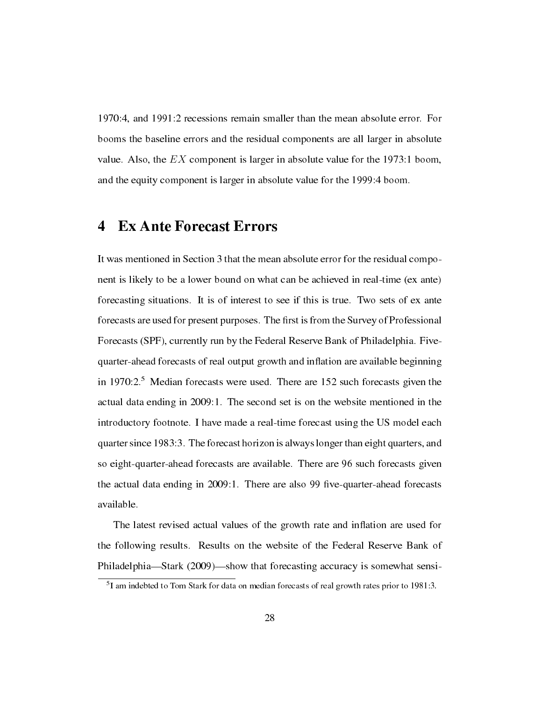1970:4, and 1991:2 recessions remain smaller than the mean absolute error. For booms the baseline errors and the residual components are all larger in absolute value. Also, the *EX* component is larger in absolute value for the 1973:1 boom, and the equity component is larger in absolute value for the 1999:4 boom.

## 4 Ex Ante Forecast Errors

It was mentioned in Section 3 that the mean absolute error for the residual component is likely to be a lower bound on what can be achieved in real-time (ex ante) forecasting situations. It is of interest to see if this is true. Two sets of ex ante forecasts are used for present purposes. The first is from the Survey of Professional Forecasts (SPF), currently run by the Federal Reserve Bank of Philadelphia. Fivequarter-ahead forecasts of real output growth and inflation are available beginning in 1970:2.<sup>5</sup> Median forecasts were used. There are 152 such forecasts given the actual data ending in 2009:1. The second set is on the website mentioned in the introductory footnote. I have made a real-time forecast using the US model each quarter since 1983:3. The forecast horizon is always longer than eight quarters, and so eight-quarter-ahead forecasts are available. There are 96 such forecasts given the actual data ending in 2009:1. There are also 99 five-quarter-ahead forecasts available.

The latest revised actual values of the growth rate and inflation are used for the following results. Results on the website of the Federal Reserve Bank of Philadelphia—Stark  $(2009)$ —show that forecasting accuracy is somewhat sensi-

<sup>&</sup>lt;sup>5</sup>I am indebted to Tom Stark for data on median forecasts of real growth rates prior to 1981:3.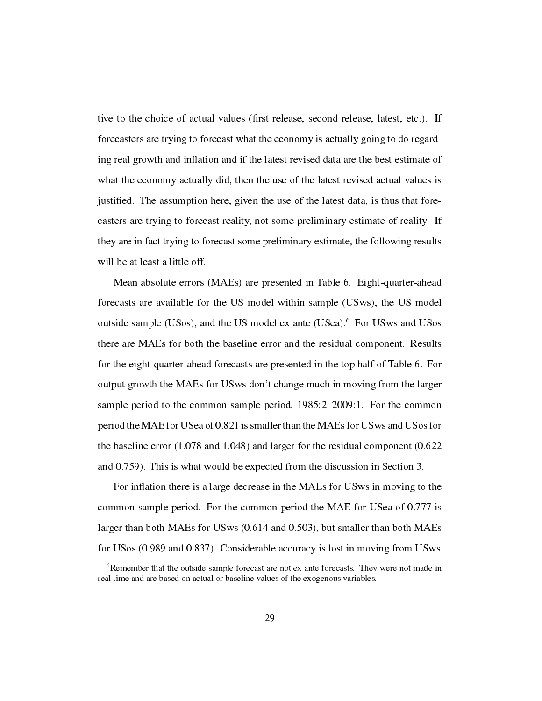tive to the choice of actual values (first release, second release, latest, etc.). If forecasters are trying to forecast what the economy is actually going to do regarding real growth and inflation and if the latest revised data are the best estimate of what the economy actually did, then the use of the latest revised actual values is justied. The assumption here, given the use of the latest data, is thus that forecasters are trying to forecast reality, not some preliminary estimate of reality. If they are in fact trying to forecast some preliminary estimate, the following results will be at least a little off.

Mean absolute errors (MAEs) are presented in Table 6. Eight-quarter-ahead forecasts are available for the US model within sample (USws), the US model outside sample (USos), and the US model ex ante (USea).<sup>6</sup> For USws and USos there are MAEs for both the baseline error and the residual component. Results for the eight-quarter-ahead forecasts are presented in the top half of Table 6. For output growth the MAEs for USws don't change much in moving from the larger sample period to the common sample period,  $1985:2-2009:1$ . For the common period the MAE for USea of 0.821 is smaller than the MAEs for USws and USos for the baseline error (1.078 and 1.048) and larger for the residual component (0.622 and 0.759). This is what would be expected from the discussion in Section 3.

For inflation there is a large decrease in the MAEs for US ws in moving to the common sample period. For the common period the MAE for USea of 0.777 is larger than both MAEs for USws (0.614 and 0.503), but smaller than both MAEs for USos (0.989 and 0.837). Considerable accuracy is lost in moving from USws

<sup>6</sup>Remember that the outside sample forecast are not ex ante forecasts. They were not made in real time and are based on actual or baseline values of the exogenous variables.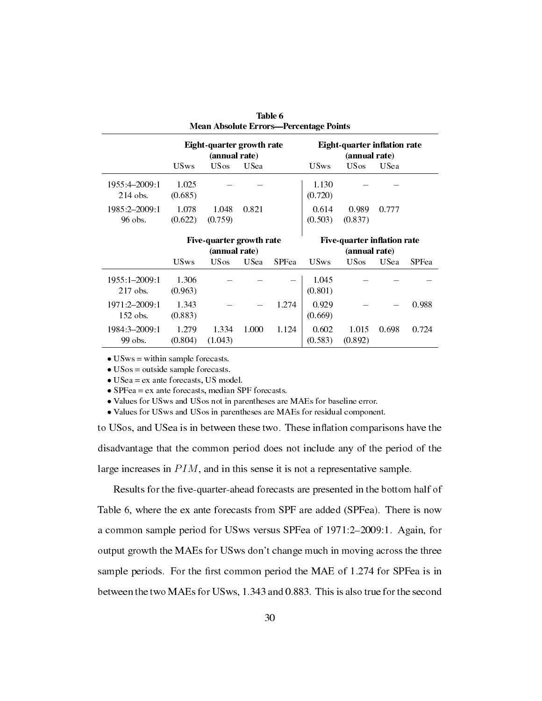| <b>Mean Absolute Errors-Percentage Points</b> |                  |                                            |                                              |              |                                               |                  |             |              |  |  |  |  |  |
|-----------------------------------------------|------------------|--------------------------------------------|----------------------------------------------|--------------|-----------------------------------------------|------------------|-------------|--------------|--|--|--|--|--|
|                                               |                  | Eight-quarter growth rate<br>(annual rate) |                                              |              | Eight-quarter inflation rate<br>(annual rate) |                  |             |              |  |  |  |  |  |
|                                               |                  | <b>USws</b>                                | <b>US</b> os                                 | <b>USea</b>  |                                               |                  |             |              |  |  |  |  |  |
| 1955 4-2009 1<br>$214$ obs.                   | 1.025<br>(0.685) |                                            |                                              |              | 1.130<br>(0.720)                              |                  |             |              |  |  |  |  |  |
| 1985 2-2009 1<br>96 obs.                      | 1.078<br>(0.622) | 1.048<br>(0.759)                           | 0.821                                        |              | 0.614<br>(0.503)                              | 0.989<br>(0.837) | 0.777       |              |  |  |  |  |  |
|                                               |                  |                                            | Five-quarter inflation rate<br>(annual rate) |              |                                               |                  |             |              |  |  |  |  |  |
|                                               |                  | Five-quarter growth rate<br>(annual rate)  |                                              |              |                                               |                  |             |              |  |  |  |  |  |
|                                               | <b>USws</b>      | <b>US</b> os                               | <b>USea</b>                                  | <b>SPFea</b> | <b>USws</b>                                   | <b>US</b> os     | <b>USea</b> | <b>SPFea</b> |  |  |  |  |  |
| 1955 1-2009 1<br>$217$ obs.                   | 1.306<br>(0.963) |                                            |                                              |              | 1.045<br>(0.801)                              |                  |             |              |  |  |  |  |  |
| 1971 2-2009 1<br>$152$ obs.                   | 1.343<br>(0.883) |                                            |                                              | 1.274        | 0.929<br>(0.669)                              |                  |             | 0.988        |  |  |  |  |  |

Table 6

• USws = within sample forecasts.

• USos = outside sample forecasts.

*•* USea = ex ante forecasts, US model.

- SPFea = ex ante forecasts, median SPF forecasts.
- *•* Values for USws and USos not in parentheses are MAEs for baseline error.

*•* Values for USws and USos in parentheses are MAEs for residual component.

to USos, and USea is in between these two. These inflation comparisons have the disadvantage that the common period does not include any of the period of the large increases in *P IM*, and in this sense it is not a representative sample.

Results for the five-quarter-ahead forecasts are presented in the bottom half of Table 6, where the ex ante forecasts from SPF are added (SPFea). There is now a common sample period for USws versus SPFea of 1971:2-2009:1. Again, for output growth the MAEs for USws don't change much in moving across the three sample periods. For the first common period the MAE of 1.274 for SPFea is in between the two MAEs for USws, 1.343 and 0.883. This is also true for the second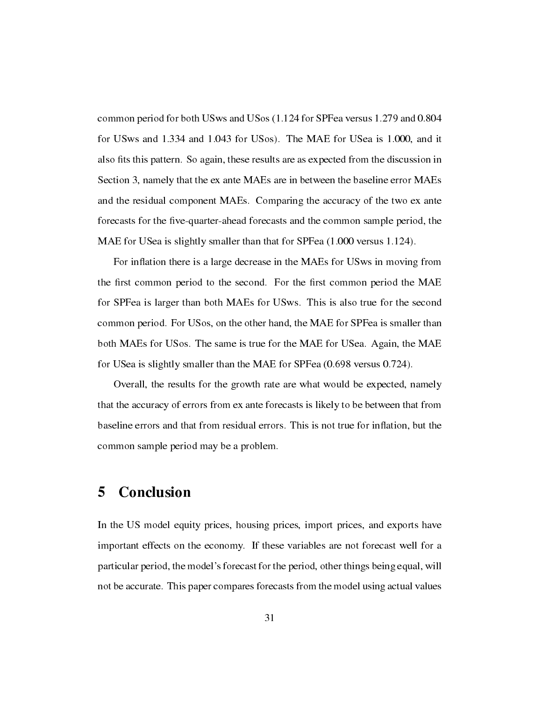common period for both USws and USos (1.124 for SPFea versus 1.279 and 0.804 for USws and 1.334 and 1.043 for USos). The MAE for USea is 1.000, and it also fits this pattern. So again, these results are as expected from the discussion in Section 3, namely that the ex ante MAEs are in between the baseline error MAEs and the residual component MAEs. Comparing the accuracy of the two ex ante forecasts for the five-quarter-ahead forecasts and the common sample period, the MAE for USea is slightly smaller than that for SPFea (1.000 versus 1.124).

For inflation there is a large decrease in the MAEs for USws in moving from the first common period to the second. For the first common period the MAE for SPFea is larger than both MAEs for USws. This is also true for the second common period. For USos, on the other hand, the MAE for SPFea is smaller than both MAEs for USos. The same is true for the MAE for USea. Again, the MAE for USea is slightly smaller than the MAE for SPFea (0.698 versus 0.724).

Overall, the results for the growth rate are what would be expected, namely that the accuracy of errors from ex ante forecasts is likely to be between that from baseline errors and that from residual errors. This is not true for inflation, but the common sample period may be a problem.

# 5 Conclusion

In the US model equity prices, housing prices, import prices, and exports have important effects on the economy. If these variables are not forecast well for a particular period, the model's forecast for the period, other things being equal, will not be accurate. This paper compares forecasts from the model using actual values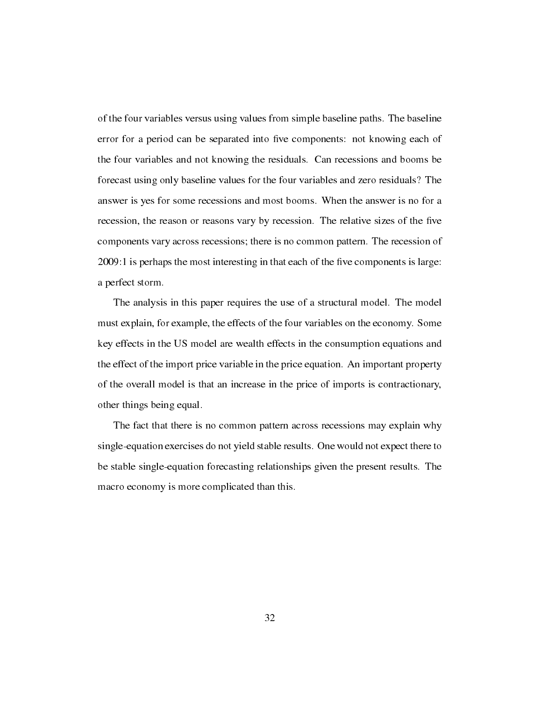of the four variables versus using values from simple baseline paths. The baseline error for a period can be separated into five components: not knowing each of the four variables and not knowing the residuals. Can recessions and booms be forecast using only baseline values for the four variables and zero residuals? The answer is yes for some recessions and most booms. When the answer is no for a recession, the reason or reasons vary by recession. The relative sizes of the five components vary across recessions; there is no common pattern. The recession of 2009:1 is perhaps the most interesting in that each of the five components is large: a perfect storm.

The analysis in this paper requires the use of a structural model. The model must explain, for example, the effects of the four variables on the economy. Some key effects in the US model are wealth effects in the consumption equations and the effect of the import price variable in the price equation. An important property of the overall model is that an increase in the price of imports is contractionary, other things being equal.

The fact that there is no common pattern across recessions may explain why single-equation exercises do not yield stable results. One would not expect there to be stable single-equation forecasting relationships given the present results. The macro economy is more complicated than this.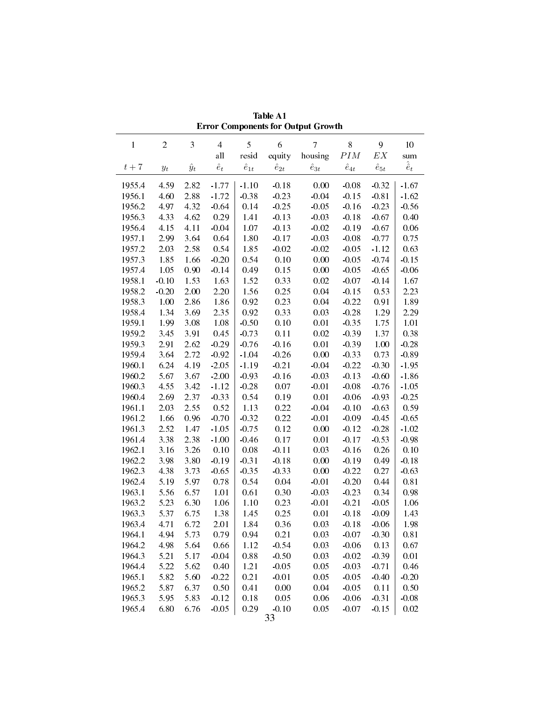|                  |                                                                          |              |                 |                |                    | ETTOL Components for Output Growm |                      |                    |                   |
|------------------|--------------------------------------------------------------------------|--------------|-----------------|----------------|--------------------|-----------------------------------|----------------------|--------------------|-------------------|
| $\mathbf{1}$     | $\sqrt{2}$                                                               | 3            | $\overline{4}$  | 5              | 6                  | $\overline{7}$                    | 8                    | 9                  | $10\,$            |
|                  |                                                                          |              | $\mathbf{all}$  | resid          | equity             | housing                           | $\cal{P}IM$          | $\boldsymbol{EX}$  | sum               |
| $t+7$            | $y_{t}% \left( t\right) \sim\mathcal{N}_{\varepsilon }\left( t\right) ,$ | $\hat{y}_t$  | $\hat{e}_t$     | $\hat{e}_{1t}$ | $\hat{e}_{2t}$     | $\hat{e}_{3t}$                    | $\hat{e}_{4t}$       | $\hat{e}_{5t}$     | $\hat{\hat{e}}_t$ |
| 1955.4           | 4.59                                                                     | 2.82         | $-1.77$         | $-1.10$        | $-0.18$            | 0.00                              | $-0.08$              | $-0.32$            | $-1.67$           |
| 1956.1           | 4.60                                                                     | 2.88         | $-1.72$         | $-0.38$        | $-0.23$            | $-0.04$                           | $-0.15$              | $-0.81$            | $-1.62$           |
| 1956.2           | 4.97                                                                     | 4.32         | $-0.64$         | 0.14           | $-0.25$            | $-0.05$                           | $-0.16$              | $-0.23$            | $-0.56$           |
| 1956.3           | 4.33                                                                     | 4.62         | 0.29            | 1.41           | $-0.13$            | $-0.03$                           | $-0.18$              | $-0.67$            | 0.40              |
| 1956.4           | 4.15                                                                     | 4.11         | $-0.04$         | 1.07           | $-0.13$            | $-0.02$                           | $-0.19$              | $-0.67$            | 0.06              |
| 1957.1           | 2.99                                                                     | 3.64         | 0.64            | 1.80           | $-0.17$            | $-0.03$                           | $-0.08$              | $-0.77$            | 0.75              |
| 1957.2           | 2.03                                                                     | 2.58         | 0.54            | 1.85           | $-0.02$            | $-0.02$                           | $-0.05$              | $-1.12$            | 0.63              |
| 1957.3           | 1.85                                                                     | 1.66         | $-0.20$         | 0.54           | 0.10               | 0.00                              | $-0.05$              | $-0.74$            | $-0.15$           |
| 1957.4           | 1.05                                                                     | 0.90         | $-0.14$         | 0.49           | 0.15               | 0.00                              | $-0.05$              | $-0.65$            | $-0.06$           |
| 1958.1           | $-0.10$                                                                  | 1.53         | 1.63            | 1.52           | 0.33               | 0.02                              | $-0.07$              | $-0.14$            | 1.67              |
| 1958.2           | $-0.20$                                                                  | 2.00         | 2.20            | 1.56           | 0.25               | 0.04                              | $-0.15$              | 0.53               | 2.23              |
| 1958.3           | 1.00                                                                     | 2.86         | 1.86            | 0.92           | 0.23               | 0.04                              | $-0.22$              | 0.91               | 1.89              |
| 1958.4           | 1.34                                                                     | 3.69         | 2.35            | 0.92           | 0.33               | 0.03                              | $-0.28$              | 1.29               | 2.29              |
| 1959.1           | 1.99                                                                     | 3.08         | 1.08            | $-0.50$        | 0.10               | 0.01                              | $-0.35$              | 1.75               | 1.01              |
| 1959.2           | 3.45                                                                     | 3.91         | 0.45            | $-0.73$        | 0.11               | 0.02                              | $-0.39$              | 1.37               | 0.38              |
| 1959.3           | 2.91                                                                     | 2.62         | $-0.29$         | $-0.76$        | $-0.16$            | 0.01                              | $-0.39$              | 1.00               | $-0.28$           |
| 1959.4           | 3.64                                                                     | 2.72         | $-0.92$         | $-1.04$        | $-0.26$            | 0.00                              | $-0.33$              | 0.73               | $-0.89$           |
| 1960.1           | 6.24                                                                     | 4.19         | $-2.05$         | $-1.19$        | $-0.21$            | $-0.04$                           | $-0.22$              | $-0.30$            | $-1.95$           |
| 1960.2           | 5.67                                                                     | 3.67         | $-2.00$         | $-0.93$        | $-0.16$            | $-0.03$                           | $-0.13$              | $-0.60$            | $-1.86$           |
| 1960.3           | 4.55                                                                     | 3.42         | $-1.12$         | $-0.28$        | 0.07               | $-0.01$                           | $-0.08$              | $-0.76$            | $-1.05$           |
| 1960.4           | 2.69                                                                     | 2.37         | $-0.33$         | 0.54           | 0.19               | 0.01                              | $-0.06$              | $-0.93$            | $-0.25$           |
| 1961.1           | 2.03                                                                     | 2.55         | 0.52            | 1.13           | 0.22               | $-0.04$                           | $-0.10$              | $-0.63$            | 0.59              |
| 1961.2           | 1.66                                                                     | 0.96         | $-0.70$         | $-0.32$        | 0.22               | $-0.01$                           | $-0.09$              | $-0.45$            | $-0.65$           |
| 1961.3           | 2.52                                                                     | 1.47         | $-1.05$         | $-0.75$        | 0.12               | 0.00                              | $-0.12$              | $-0.28$            | $-1.02$           |
| 1961.4           | 3.38                                                                     | 2.38         | $-1.00$         | $-0.46$        | 0.17               | 0.01                              | $-0.17$              | $-0.53$            | $-0.98$           |
| 1962.1           | 3.16                                                                     | 3.26         | 0.10            | $0.08\,$       | $-0.11$            | 0.03                              | $-0.16$              | 0.26               | 0.10              |
| 1962.2           | 3.98                                                                     | 3.80         | $-0.19$         | $-0.31$        | $-0.18$            | 0.00                              | $-0.19$              | 0.49               | $-0.18$           |
| 1962.3           | 4.38                                                                     | 3.73         | $-0.65$         | $-0.35$        | $-0.33$            | 0.00                              | $-0.22$              | 0.27               | $-0.63$           |
| 1962.4           | 5.19                                                                     | 5.97         | 0.78            | 0.54           | 0.04               | $-0.01$                           | $-0.20$              | 0.44<br>0.34       | 0.81              |
| 1963.1           | 5.56                                                                     | 6.57         | 1.01            | 0.61           | 0.30               | $-0.03$                           | $-0.23$              |                    | 0.98              |
| 1963.2<br>1963.3 | 5.23<br>5.37                                                             | 6.30<br>6.75 | 1.06<br>1.38    | 1.10<br>1.45   | 0.23<br>0.25       | $-0.01$<br>0.01                   | $-0.21$<br>$-0.18$   | $-0.05$<br>$-0.09$ | 1.06<br>1.43      |
|                  | 1963.4 4.71 6.72                                                         |              | 2.01            | 1.84           | 0.36               |                                   | $0.03 - 0.18 - 0.06$ |                    | 1.98              |
| 1964.1           |                                                                          |              |                 |                |                    |                                   |                      |                    |                   |
|                  | 4.94                                                                     | 5.73         | 0.79            | 0.94           | 0.21               | 0.03<br>0.03                      | $-0.07$              | $-0.30$            | 0.81              |
| 1964.2           | 4.98                                                                     | 5.64         | 0.66<br>$-0.04$ | 1.12           | $-0.54$            | 0.03                              | $-0.06$              | 0.13               | 0.67              |
| 1964.3<br>1964.4 | 5.21                                                                     | 5.17<br>5.62 |                 | 0.88           | $-0.50$<br>$-0.05$ | 0.05                              | $-0.02$              | $-0.39$            | 0.01<br>0.46      |
| 1965.1           | 5.22<br>5.82                                                             | 5.60         | 0.40<br>$-0.22$ | 1.21<br>0.21   | $-0.01$            | 0.05                              | $-0.03$<br>$-0.05$   | $-0.71$<br>$-0.40$ | $-0.20$           |
| 1965.2           | 5.87                                                                     | 6.37         | 0.50            | 0.41           | 0.00               | 0.04                              | $-0.05$              | 0.11               | 0.50              |
| 1965.3           | 5.95                                                                     | 5.83         | $-0.12$         | 0.18           | 0.05               | 0.06                              | $-0.06$              | $-0.31$            | $-0.08$           |
| 1965.4           | 6.80                                                                     | 6.76         | $-0.05$         | $0.29\,$       | $-0.10$            | 0.05                              | $-0.07$              | $-0.15$            | 0.02              |
|                  |                                                                          |              |                 |                | 33                 |                                   |                      |                    |                   |
|                  |                                                                          |              |                 |                |                    |                                   |                      |                    |                   |

Table A1 Error Components for Output Growth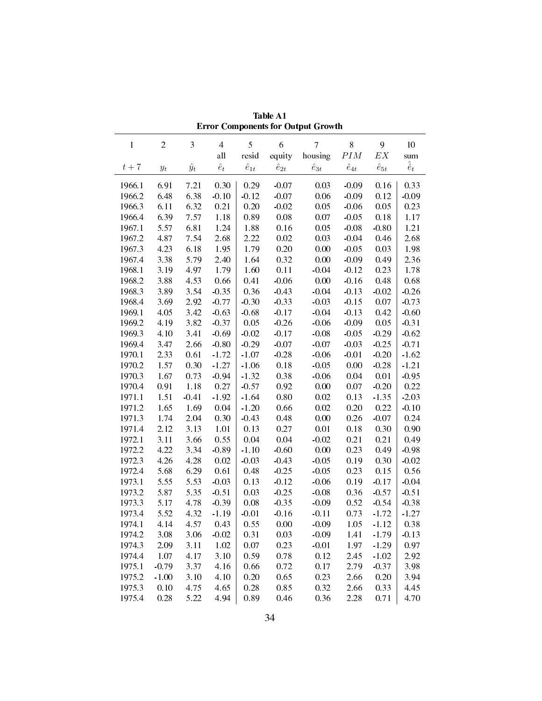|              |                       |             |                |                |                | етгог Сошроненіз юг Ойіриі Стомин |                |                |                   |
|--------------|-----------------------|-------------|----------------|----------------|----------------|-----------------------------------|----------------|----------------|-------------------|
| $\mathbf{1}$ | $\overline{c}$        | 3           | $\overline{4}$ | 5              | 6              | $\overline{7}$                    | $8\,$          | 9              | 10                |
|              |                       |             | all            | resid          | equity         | housing                           | $\cal{P}IM$    | ${\cal E} X$   | sum               |
| $t+7$        | $y_{\boldsymbol{t}}$  | $\hat{y}_t$ | $\hat{e}_t$    | $\hat{e}_{1t}$ | $\hat{e}_{2t}$ | $\hat{e}_{3t}$                    | $\hat{e}_{4t}$ | $\hat{e}_{5t}$ | $\hat{\hat{e}}_t$ |
| 1966.1       | 6.91                  | 7.21        | 0.30           | 0.29           | $-0.07$        | 0.03                              | $-0.09$        | 0.16           | 0.33              |
| 1966.2       | 6.48                  | 6.38        | $-0.10$        | $-0.12$        | $-0.07$        | 0.06                              | $-0.09$        | 0.12           | $-0.09$           |
| 1966.3       | 6.11                  | 6.32        | 0.21           | 0.20           | $-0.02$        | 0.05                              | $-0.06$        | 0.05           | 0.23              |
| 1966.4       | 6.39                  | 7.57        | 1.18           | 0.89           | 0.08           | 0.07                              | $-0.05$        | 0.18           | 1.17              |
| 1967.1       | 5.57                  | 6.81        | 1.24           | 1.88           | 0.16           | 0.05                              | $-0.08$        | $-0.80$        | 1.21              |
| 1967.2       | 4.87                  | 7.54        | 2.68           | 2.22           | $0.02\,$       | 0.03                              | $-0.04$        | 0.46           | 2.68              |
| 1967.3       | 4.23                  | 6.18        | 1.95           | 1.79           | 0.20           | 0.00                              | $-0.05$        | 0.03           | 1.98              |
| 1967.4       | 3.38                  | 5.79        | 2.40           | 1.64           | 0.32           | $0.00\,$                          | $-0.09$        | 0.49           | 2.36              |
| 1968.1       | 3.19                  | 4.97        | 1.79           | 1.60           | 0.11           | $-0.04$                           | $-0.12$        | 0.23           | 1.78              |
| 1968.2       | 3.88                  | 4.53        | 0.66           | 0.41           | $-0.06$        | 0.00                              | $-0.16$        | 0.48           | 0.68              |
| 1968.3       | 3.89                  | 3.54        | $-0.35$        | 0.36           | $-0.43$        | $-0.04$                           | $-0.13$        | $-0.02$        | $-0.26$           |
| 1968.4       | 3.69                  | 2.92        | $-0.77$        | $-0.30$        | $-0.33$        | $-0.03$                           | $-0.15$        | 0.07           | $-0.73$           |
| 1969.1       | 4.05                  | 3.42        | $-0.63$        | $-0.68$        | $-0.17$        | $-0.04$                           | $-0.13$        | 0.42           | $-0.60$           |
| 1969.2       | 4.19                  | 3.82        | $-0.37$        | 0.05           | $-0.26$        | $-0.06$                           | $-0.09$        | 0.05           | $-0.31$           |
| 1969.3       | 4.10                  | 3.41        | $-0.69$        | $-0.02$        | $-0.17$        | $-0.08$                           | $-0.05$        | $-0.29$        | $-0.62$           |
| 1969.4       | 3.47                  | 2.66        | $-0.80$        | $-0.29$        | $-0.07$        | $-0.07$                           | $-0.03$        | $-0.25$        | $-0.71$           |
| 1970.1       | 2.33                  | 0.61        | $-1.72$        | $-1.07$        | $-0.28$        | $-0.06$                           | $-0.01$        | $-0.20$        | $-1.62$           |
| 1970.2       | 1.57                  | 0.30        | $-1.27$        | $-1.06$        | $0.18\,$       | $-0.05$                           | $0.00\,$       | $-0.28$        | $-1.21$           |
| 1970.3       | 1.67                  | 0.73        | $-0.94$        | $-1.32$        | 0.38           | $-0.06$                           | 0.04           | 0.01           | $-0.95$           |
| 1970.4       | 0.91                  | 1.18        | 0.27           | $-0.57$        | 0.92           | 0.00                              | 0.07           | $-0.20$        | 0.22              |
| 1971.1       | 1.51                  | $-0.41$     | $-1.92$        | $-1.64$        | $0.80\,$       | 0.02                              | 0.13           | $-1.35$        | $-2.03$           |
| 1971.2       | 1.65                  | 1.69        | 0.04           | $-1.20$        | 0.66           | 0.02                              | 0.20           | 0.22           | $-0.10$           |
| 1971.3       | 1.74                  | 2.04        | 0.30           | $-0.43$        | 0.48           | 0.00                              | 0.26           | $-0.07$        | 0.24              |
| 1971.4       | 2.12                  | 3.13        | 1.01           | 0.13           | 0.27           | 0.01                              | 0.18           | 0.30           | 0.90              |
| 1972.1       | 3.11                  | 3.66        | 0.55           | 0.04           | 0.04           | $-0.02$                           | 0.21           | 0.21           | 0.49              |
| 1972.2       | 4.22                  | 3.34        | $-0.89$        | $-1.10$        | $-0.60$        | $0.00\,$                          | 0.23           | 0.49           | $-0.98$           |
| 1972.3       | 4.26                  | 4.28        | 0.02           | $-0.03$        | $-0.43$        | $-0.05$                           | 0.19           | 0.30           | $-0.02$           |
| 1972.4       | 5.68                  | 6.29        | 0.61           | 0.48           | $-0.25$        | $-0.05$                           | 0.23           | 0.15           | 0.56              |
| 1973.1       | 5.55                  | 5.53        | $-0.03$        | 0.13           | $-0.12$        | $-0.06$                           | 0.19           | $-0.17$        | $-0.04$           |
| 1973.2       | 5.87                  | 5.35        | $-0.51$        | 0.03           | $-0.25$        | $-0.08$                           | 0.36           | $-0.57$        | $-0.51$           |
| 1973.3       | 5.17                  | 4.78        | $-0.39$        | 0.08           | $-0.35$        | $-0.09$                           | 0.52           | $-0.54$        | $-0.38$           |
| 1973.4       | 5.52                  | 4.32        | $-1.19$        | $-0.01$        | $-0.16$        | $-0.11$                           | 0.73           | $-1.72$        | $-1.27$           |
|              | 1974.1 4.14 4.57 0.43 |             |                | 0.55           | $0.00\,$       | $-0.09$                           | 1.05           | $-1.12$        | 0.38              |
| 1974.2       | 3.08                  | 3.06        | $-0.02$        | 0.31           | 0.03           | $-0.09$                           | 1.41           | $-1.79$        | $-0.13$           |
| 1974.3       | 2.09                  | 3.11        | 1.02           | 0.07           | 0.23           | $-0.01$                           | 1.97           | $-1.29$        | 0.97              |
| 19744        | 1.07                  | 4.17        | 3.10           | 0.59           | 0.78           | 0.12                              | 2.45           | $-1.02$        | 2.92              |
| 1975.1       | $-0.79$               | 3.37        | 4.16           | 0.66           | 0.72           | 0.17                              | 2.79           | $-0.37$        | 3.98              |
| 1975.2       | $-1.00$               | 3.10        | 4.10           | 0.20           | 0.65           | 0.23                              | 2.66           | 0.20           | 3.94              |
| 1975.3       | 0.10                  | 4.75        | 4.65           | 0.28           | 0.85           | 0.32                              | 2.66           | 0.33           | 4.45              |
| 1975.4       | 0.28                  | 5.22        | 4.94           | 0.89           | 0.46           | 0.36                              | 2.28           | 0.71           | 4.70              |
|              |                       |             |                |                |                |                                   |                |                |                   |

Table A1 Error Components for Output Growth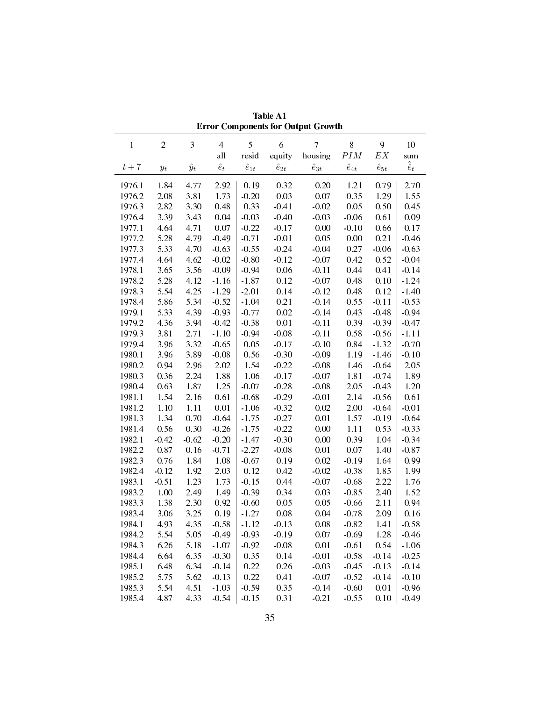|        |                      |             |                |                |                | <b>Error Components for Output Growth</b> |                |                   |                   |
|--------|----------------------|-------------|----------------|----------------|----------------|-------------------------------------------|----------------|-------------------|-------------------|
| 1      | $\overline{c}$       | 3           | $\overline{4}$ | 5              | 6              | $\overline{7}$                            | 8              | 9                 | 10                |
|        |                      |             | all            | resid          | equity         | housing                                   | $\cal{P}IM$    | $\boldsymbol{EX}$ | sum               |
| $t+7$  | $y_{\boldsymbol{t}}$ | $\hat{y}_t$ | $\hat{e}_t$    | $\hat{e}_{1t}$ | $\hat{e}_{2t}$ | $\hat{e}_{3t}$                            | $\hat{e}_{4t}$ | $\hat{e}_{5t}$    | $\hat{\hat{e}}_t$ |
| 1976.1 | 1.84                 | 4.77        | 2.92           | 0.19           | 032            | 0.20                                      | 1.21           | 0.79              | 2.70              |
| 1976.2 | 2.08                 | 3.81        | 1.73           | $-0.20$        | 0.03           | 0.07                                      | 0.35           | 1.29              | 1.55              |
| 1976.3 | 2.82                 | 3.30        | 0.48           | 0.33           | $-0.41$        | $-0.02$                                   | 0.05           | 0.50              | 0.45              |
| 1976.4 | 3.39                 | 3.43        | 0.04           | $-0.03$        | $-0.40$        | $-0.03$                                   | $-0.06$        | 0.61              | 0.09              |
| 1977.1 | 4.64                 | 4.71        | 0.07           | $-0.22$        | $-0.17$        | 0.00                                      | $-0.10$        | 0.66              | 0.17              |
| 1977.2 | 5.28                 | 4.79        | $-0.49$        | $-0.71$        | $-0.01$        | 0.05                                      | 0.00           | 0.21              | $-0.46$           |
| 1977.3 | 5.33                 | 4.70        | $-0.63$        | $-0.55$        | $-0.24$        | $-0.04$                                   | 0.27           | $-0.06$           | $-0.63$           |
| 1977.4 | 4.64                 | 4.62        | $-0.02$        | $-0.80$        | $-0.12$        | $-0.07$                                   | 0.42           | 0.52              | $-0.04$           |
| 1978.1 | 3.65                 | 3.56        | $-0.09$        | $-0.94$        | 0.06           | $-0.11$                                   | 0.44           | 0.41              | $-0.14$           |
| 1978.2 | 5.28                 | 4.12        | $-1.16$        | $-1.87$        | 0.12           | $-0.07$                                   | 0.48           | 0.10              | $-1.24$           |
| 1978.3 | 5.54                 | 4.25        | $-1.29$        | $-2.01$        | 0.14           | $-0.12$                                   | 0.48           | 0.12              | $-1.40$           |
| 1978.4 | 5.86                 | 5.34        | $-0.52$        | $-1.04$        | 0.21           | $-0.14$                                   | 0.55           | $-0.11$           | $-0.53$           |
| 1979.1 | 5.33                 | 4.39        | $-0.93$        | $-0.77$        | 0.02           | $-0.14$                                   | 0.43           | $-0.48$           | $-0.94$           |
| 1979.2 | 4.36                 | 3.94        | $-0.42$        | $-0.38$        | 0.01           | $-0.11$                                   | 0.39           | $-0.39$           | $-0.47$           |
| 1979.3 | 3.81                 | 2.71        | $-1.10$        | $-0.94$        | $-0.08$        | $-0.11$                                   | 0.58           | $-0.56$           | $-1.11$           |
| 1979.4 | 3.96                 | 3.32        | $-0.65$        | 0.05           | $-0.17$        | $-0.10$                                   | 0.84           | $-1.32$           | $-0.70$           |
| 1980.1 | 3.96                 | 3.89        | $-0.08$        | 0.56           | $-0.30$        | $-0.09$                                   | 1.19           | $-1.46$           | $-0.10$           |
| 1980.2 | 0.94                 | 2.96        | 2.02           | 1.54           | $-0.22$        | $-0.08$                                   | 1.46           | $-0.64$           | 2.05              |
| 1980.3 | 0.36                 | 2.24        | 1.88           | 1.06           | $-0.17$        | $-0.07$                                   | 1.81           | $-0.74$           | 1.89              |
| 1980.4 | 0.63                 | 1.87        | 1.25           | $-0.07$        | $-0.28$        | $-0.08$                                   | 2.05           | $-0.43$           | 1.20              |
| 1981.1 | 1.54                 | 2.16        | 0.61           | $-0.68$        | $-0.29$        | $-0.01$                                   | 2.14           | $-0.56$           | 0.61              |
| 1981.2 | 1.10                 | 1.11        | 0.01           | $-1.06$        | $-0.32$        | 0.02                                      | 2.00           | $-0.64$           | $-0.01$           |
| 1981.3 | 1.34                 | 0.70        | $-0.64$        | $-1.75$        | $-0.27$        | 0.01                                      | 1.57           | $-0.19$           | $-0.64$           |
| 1981.4 | 0.56                 | 0.30        | $-0.26$        | $-1.75$        | $-0.22$        | 0.00                                      | 1.11           | 0.53              | $-0.33$           |
| 1982.1 | $-0.42$              | $-0.62$     | $-0.20$        | $-1.47$        | $-0.30$        | 0.00                                      | 0.39           | 1.04              | $-0.34$           |
| 1982.2 | 0.87                 | 0.16        | $-0.71$        | $-2.27$        | $-0.08$        | 0.01                                      | 0.07           | 1.40              | $-0.87$           |
| 1982.3 | 0.76                 | 1.84        | 1.08           | $-0.67$        | 0.19           | 0.02                                      | $-0.19$        | 1.64              | 0.99              |
| 1982.4 | $-0.12$              | 1.92        | 2.03           | 0.12           | 0.42           | $-0.02$                                   | $-0.38$        | 1.85              | 1.99              |
| 1983.1 | $-0.51$              | 1.23        | 1.73           | $-0.15$        | 0.44           | $-0.07$                                   | $-0.68$        | 2.22              | 1.76              |
| 1983.2 | 1.00                 | 2.49        | 1.49           | $-0.39$        | 0.34           | 0.03                                      | $-0.85$        | 2.40              | 1.52              |
| 1983.3 | 1.38                 | 2.30        | 0.92           | $-0.60$        | 0.05           | 0.05                                      | $-0.66$        | 2.11              | 0.94              |
| 1983.4 | 3.06                 | 3.25        | 0.19           | $-1.27$        | 0.08           | 0.04                                      | $-0.78$        | 2.09              | 0.16              |
| 1984.1 | 4.93                 | 4.35        | $-0.58$        | $-1.12$        | $-0.13$        | 0.08                                      | $-0.82$        | 1.41              | $-0.58$           |
| 1984.2 | 5.54                 | 5.05        | $-0.49$        | $-0.93$        | $-0.19$        | 0.07                                      | $-0.69$        | 1.28              | $-0.46$           |
| 1984.3 | 6.26                 | 5.18        | $-1.07$        | $-0.92$        | $-0.08$        | 0.01                                      | $-0.61$        | 0.54              | $-1.06$           |
| 1984.4 | 6.64                 | 6.35        | $-0.30$        | 0.35           | 0.14           | $-0.01$                                   | $-0.58$        | $-0.14$           | $-0.25$           |
| 1985.1 | 6.48                 | 6.34        | $-0.14$        | 0.22           | 0.26           | $-0.03$                                   | $-0.45$        | $-0.13$           | $-0.14$           |
| 1985.2 | 5.75                 | 5.62        | $-0.13$        | 0.22           | 0.41           | $-0.07$                                   | $-0.52$        | $-0.14$           | $-0.10$           |
| 1985.3 | 5.54                 | 4.51        | $-1.03$        | $-0.59$        | 0.35           | $-0.14$                                   | $-0.60$        | 0.01              | $-0.96$           |
| 1985.4 | 4.87                 | 4.33        | $-0.54$        | $-0.15$        | 0.31           | $-0.21$                                   | $-0.55$        | 0.10              | $-0.49$           |

Table A1 Error Components for Output Growth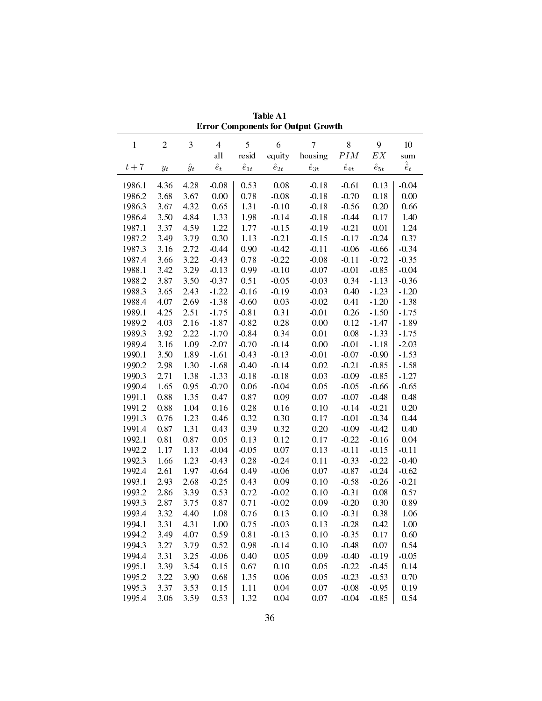|              |                                                                        |             |                       |                |                | еттог сотропения гот отврат отоман |                      |                        |                   |
|--------------|------------------------------------------------------------------------|-------------|-----------------------|----------------|----------------|------------------------------------|----------------------|------------------------|-------------------|
| $\mathbf{1}$ | $\sqrt{2}$                                                             | 3           | $\overline{4}$<br>all | 5<br>resid     | 6<br>equity    | $7\overline{ }$<br>housing         | $8\,$<br>$\cal{P}IM$ | 9<br>$\boldsymbol{EX}$ | $10\,$<br>sum     |
| $t+7$        | $y_{t}% \left( t\right) \sim\mathcal{N}_{\mathrm{c}}\left( t\right) ,$ | $\hat{y}_t$ | $\hat{e}_t$           | $\hat{e}_{1t}$ | $\hat{e}_{2t}$ | $\hat{e}_{3t}$                     | $\hat{e}_{4t}$       | $\hat{e}_{5t}$         | $\hat{\hat{e}}_t$ |
| 1986.1       | 4.36                                                                   | 4.28        | $-0.08$               | 0.53           | 0.08           | $-0.18$                            | $-0.61$              | 0.13                   | $-0.04$           |
| 1986.2       | 3.68                                                                   | 3.67        | 0.00                  | 0.78           | $-0.08$        | $-0.18$                            | $-0.70$              | 0.18                   | 0.00              |
| 1986.3       | 3.67                                                                   | 4.32        | 0.65                  | 1.31           | $-0.10$        | $-0.18$                            | $-0.56$              | 0.20                   | 0.66              |
| 1986.4       | 3.50                                                                   | 4.84        | 1.33                  | 1.98           | $-0.14$        | $-0.18$                            | $-0.44$              | 0.17                   | 1.40              |
| 1987.1       | 3.37                                                                   | 4.59        | 1.22                  | 1.77           | $-0.15$        | $-0.19$                            | $-0.21$              | 0.01                   | 1.24              |
| 1987.2       | 3.49                                                                   | 3.79        | 0.30                  | 1.13           | $-0.21$        | $-0.15$                            | $-0.17$              | $-0.24$                | 0.37              |
| 1987.3       | 3.16                                                                   | 2.72        | $-0.44$               | 0.90           | $-0.42$        | $-0.11$                            | $-0.06$              | $-0.66$                | $-0.34$           |
| 1987.4       | 3.66                                                                   | 3.22        | $-0.43$               | 0.78           | $-0.22$        | $-0.08$                            | $-0.11$              | $-0.72$                | $-0.35$           |
| 1988.1       | 3.42                                                                   | 3.29        | $-0.13$               | 0.99           | $-0.10$        | $-0.07$                            | $-0.01$              | $-0.85$                | $-0.04$           |
| 1988.2       | 3.87                                                                   | 3.50        | $-0.37$               | 0.51           | $-0.05$        | $-0.03$                            | 0.34                 | $-1.13$                | $-0.36$           |
| 1988.3       | 3.65                                                                   | 2.43        | $-1.22$               | $-0.16$        | $-0.19$        | $-0.03$                            | 0.40                 | $-1.23$                | $-1.20$           |
| 1988.4       | 4.07                                                                   | 2.69        | $-1.38$               | $-0.60$        | 0.03           | $-0.02$                            | 0.41                 | $-1.20$                | $-1.38$           |
|              | 4.25                                                                   | 2.51        | $-1.75$               |                |                |                                    |                      | $-1.50$                | $-1.75$           |
| 1989.1       |                                                                        | 2.16        |                       | $-0.81$        | 0.31           | $-0.01$                            | 0.26                 |                        |                   |
| 1989.2       | 4.03                                                                   |             | $-1.87$               | $-0.82$        | $0.28\,$       | $0.00\,$                           | 0.12                 | $-1.47$                | $-1.89$           |
| 1989.3       | 3.92                                                                   | 2.22        | $-1.70$               | $-0.84$        | 0.34           | 0.01                               | 0.08                 | $-1.33$                | $-1.75$           |
| 1989.4       | 3.16                                                                   | 1.09        | $-2.07$               | $-0.70$        | $-0.14$        | $0.00\,$                           | $-0.01$              | $-1.18$                | $-2.03$           |
| 1990.1       | 3.50                                                                   | 1.89        | $-1.61$               | $-0.43$        | $-0.13$        | $-0.01$                            | $-0.07$              | $-0.90$                | $-1.53$           |
| 1990.2       | 2.98                                                                   | 1.30        | $-1.68$               | $-0.40$        | $-0.14$        | 0.02                               | $-0.21$              | $-0.85$                | $-1.58$           |
| 1990.3       | 2.71                                                                   | 1.38        | $-1.33$               | $-0.18$        | $-0.18$        | 0.03                               | $-0.09$              | $-0.85$                | $-1.27$           |
| 19904        | 1.65                                                                   | 0.95        | $-0.70$               | $0.06\,$       | $-0.04$        | 0.05                               | $-0.05$              | $-0.66$                | $-0.65$           |
| 1991.1       | 0.88                                                                   | 1.35        | 0.47                  | 0.87           | 0.09           | 0.07                               | $-0.07$              | $-0.48$                | 0.48              |
| 1991.2       | 0.88                                                                   | 1.04        | 0.16                  | 0.28           | 0.16           | 0.10                               | $-0.14$              | $-0.21$                | 0.20              |
| 1991.3       | 0.76                                                                   | 1.23        | 0.46                  | 0.32           | 0.30           | 0.17                               | $-0.01$              | $-0.34$                | 0.44              |
| 1991.4       | 0.87                                                                   | 1.31        | 0.43                  | 0.39           | 0.32           | 0.20                               | $-0.09$              | $-0.42$                | 0.40              |
| 1992.1       | 0.81                                                                   | 0.87        | 0.05                  | 0.13           | 0.12           | 0.17                               | $-0.22$              | $-0.16$                | 0.04              |
| 1992.2       | 1.17                                                                   | 1.13        | $-0.04$               | $-0.05$        | 0.07           | 0.13                               | $-0.11$              | $-0.15$                | $-0.11$           |
| 1992.3       | 1.66                                                                   | 1.23        | $-0.43$               | 0.28           | $-0.24$        | 0.11                               | $-0.33$              | $-0.22$                | $-0.40$           |
| 19924        | 2.61                                                                   | 1.97        | $-0.64$               | 0.49           | $-0.06$        | 0.07                               | $-0.87$              | $-0.24$                | $-0.62$           |
| 1993.1       | 2.93                                                                   | 2.68        | $-0.25$               | 0.43           | 0.09           | 0.10                               | $-0.58$              | $-0.26$                | $-0.21$           |
| 1993.2       | 2.86                                                                   | 3.39        | 0.53                  | 0.72           | $-0.02$        | 0.10                               | $-0.31$              | 0.08                   | 0.57              |
| 1993.3       | 2.87                                                                   | 3.75        | 0.87                  | 0.71           | $-0.02$        | 0.09                               | $-0.20$              | 0.30                   | 0.89              |
| 1993.4       | 3.32                                                                   | 4.40        | 1.08                  | 0.76           | 0.13           | 0.10                               | $-0.31$              | 0.38                   | 1.06              |
| 1994.1       |                                                                        | 3.31 4.31   | 1.00                  |                | $0.75 - 0.03$  |                                    | $0.13 - 0.28$        | 0.42                   | $1.00\,$          |
| 1994.2       | 3.49                                                                   | 4.07        | 0.59                  | 0.81           | $-0.13$        | 0.10                               | $-0.35$              | 0.17                   | 0.60              |
| 1994.3       | 3.27                                                                   | 3.79        | 0.52                  | 0.98           | $-0.14$        | 0.10                               | $-0.48$              | 0.07                   | 0.54              |
| 1994.4       | 3.31                                                                   | 3.25        | $-0.06$               | 0.40           | 0.05           | 0.09                               | $-0.40$              | $-0.19$                | $-0.05$           |
| 1995.1       | 3.39                                                                   | 3.54        | 0.15                  | 0.67           | 0.10           | 0.05                               | $-0.22$              | $-0.45$                | 0.14              |
| 1995.2       | 3.22                                                                   | 3.90        | 0.68                  | 1.35           | 0.06           | 0.05                               | $-0.23$              | $-0.53$                | 0.70              |
| 1995.3       | 3.37                                                                   | 3.53        | 0.15                  | 1.11           | 0.04           | 0.07                               | $-0.08$              | $-0.95$                | 0.19              |
| 1995.4       | 3.06                                                                   | 3.59        | 0.53                  | 1.32           | 0.04           | 0.07                               | $-0.04$              | $-0.85$                | 0.54              |

Table A1 Error Components for Output Growth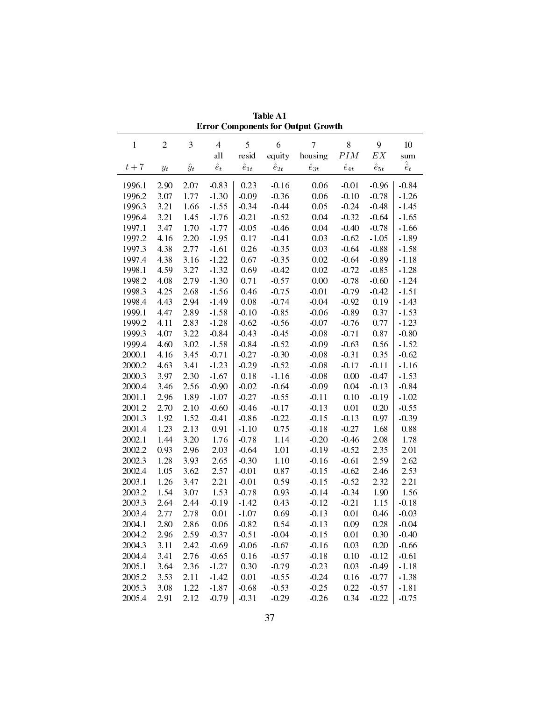| $\mathbf{1}$ | $\sqrt{2}$                                                             | 3           | $\overline{4}$ | 5              | 6              | $\overline{7}$ | $8\,$          | 9                 | $10\,$            |
|--------------|------------------------------------------------------------------------|-------------|----------------|----------------|----------------|----------------|----------------|-------------------|-------------------|
|              |                                                                        |             | all            | resid          | equity         | housing        | $\cal{P}IM$    | $\boldsymbol{EX}$ | sum               |
| $t+7$        | $y_{t}% \left( t\right) \sim\mathcal{N}_{\mathrm{c}}\left( t\right) ,$ | $\hat{y}_t$ | $\hat{e}_t$    | $\hat{e}_{1t}$ | $\hat{e}_{2t}$ | $\hat{e}_{3t}$ | $\hat{e}_{4t}$ | $\hat{e}_{5t}$    | $\hat{\hat{e}}_t$ |
| 1996.1       | 2.90                                                                   | 2.07        | $-0.83$        | 0.23           | $-0.16$        | 0.06           | $-0.01$        | $-0.96$           | $-0.84$           |
| 1996.2       | 3.07                                                                   | 1.77        | $-1.30$        | $-0.09$        | $-0.36$        | 0.06           | $-0.10$        | $-0.78$           | $-1.26$           |
| 1996.3       | 3.21                                                                   | 1.66        | $-1.55$        | $-0.34$        | $-0.44$        | 0.05           | $-0.24$        | $-0.48$           | $-1.45$           |
| 1996.4       | 3.21                                                                   | 1.45        | $-1.76$        | $-0.21$        | $-0.52$        | 0.04           | $-0.32$        | $-0.64$           | $-1.65$           |
| 1997.1       | 3.47                                                                   | 1.70        | $-1.77$        | $-0.05$        | $-0.46$        | 0.04           | $-0.40$        | $-0.78$           | $-1.66$           |
| 1997.2       | 4.16                                                                   | 2.20        | $-1.95$        | 0.17           | $-0.41$        | 0.03           | $-0.62$        | $-1.05$           | $-1.89$           |
| 1997.3       | 4.38                                                                   | 2.77        | $-1.61$        | 0.26           | $-0.35$        | 0.03           | $-0.64$        | $-0.88$           | $-1.58$           |
| 1997.4       | 4.38                                                                   | 3.16        | $-1.22$        | 0.67           | $-0.35$        | 0.02           | $-0.64$        | $-0.89$           | $-1.18$           |
| 1998.1       | 4.59                                                                   | 3.27        | $-1.32$        | 0.69           | $-0.42$        | 0.02           | $-0.72$        | $-0.85$           | $-1.28$           |
| 1998.2       | 4.08                                                                   | 2.79        | $-1.30$        | 0.71           | $-0.57$        | 0.00           | $-0.78$        | $-0.60$           | $-1.24$           |
| 1998.3       | 4.25                                                                   | 2.68        | $-1.56$        | 0.46           | $-0.75$        | $-0.01$        | $-0.79$        | $-0.42$           | $-1.51$           |
| 1998.4       | 4 4 3                                                                  | 2.94        | $-1.49$        | 0.08           | $-0.74$        | $-0.04$        | $-0.92$        | 0.19              | $-1.43$           |
| 1999.1       | 447                                                                    | 2.89        | $-1.58$        | $-0.10$        | $-0.85$        | $-0.06$        | $-0.89$        | 0.37              | $-1.53$           |
| 1999.2       | 4.11                                                                   | 2.83        | $-1.28$        | $-0.62$        | $-0.56$        | $-0.07$        | $-0.76$        | 0.77              | $-1.23$           |
| 1999.3       | 4.07                                                                   | 3.22        | $-0.84$        | $-0.43$        | $-0.45$        | $-0.08$        | $-0.71$        | 0.87              | $-0.80$           |
| 1999.4       | 4.60                                                                   | 3.02        | $-1.58$        | $-0.84$        | $-0.52$        | $-0.09$        | $-0.63$        | 0.56              | $-1.52$           |
| 2000.1       | 4.16                                                                   | 3.45        | $-0.71$        | $-0.27$        | $-0.30$        | $-0.08$        | $-0.31$        | 0.35              | $-0.62$           |
| 2000.2       | 4.63                                                                   | 3.41        | $-1.23$        | $-0.29$        | $-0.52$        | $-0.08$        | $-0.17$        | $-0.11$           | $-1.16$           |
| 2000.3       | 3.97                                                                   | 2.30        | $-1.67$        | $0.18\,$       | $-1.16$        | $-0.08$        | 0.00           | $-0.47$           | $-1.53$           |
| 2000.4       | 3.46                                                                   | 2.56        | $-0.90$        | $-0.02$        | $-0.64$        | $-0.09$        | 0.04           | $-0.13$           | $-0.84$           |
| 2001.1       | 2.96                                                                   | 1.89        | $-1.07$        | $-0.27$        | $-0.55$        | $-0.11$        | 0.10           | $-0.19$           | $-1.02$           |
| 2001.2       | 2.70                                                                   | 2.10        | $-0.60$        | $-0.46$        | $-0.17$        | $-0.13$        | 0.01           | 0.20              | $-0.55$           |
| 2001.3       | 1.92                                                                   | 1.52        | $-0.41$        | $-0.86$        | $-0.22$        | $-0.15$        | $-0.13$        | 0.97              | $-0.39$           |
| 2001.4       | 1.23                                                                   | 2.13        | 0.91           | $-1.10$        | 0.75           | $-0.18$        | $-0.27$        | 1.68              | 0.88              |
| 2002.1       | 1.44                                                                   | 3.20        | 1.76           | $-0.78$        | 1.14           | $-0.20$        | $-0.46$        | 2.08              | 1.78              |
| 2002.2       | 0.93                                                                   | 2.96        | 2.03           | $-0.64$        | 1.01           | $-0.19$        | $-0.52$        | 2.35              | 2.01              |
| 2002.3       | 1.28                                                                   | 3.93        | 2.65           | $-0.30$        | $1.10\,$       | $-0.16$        | $-0.61$        | 2.59              | 2.62              |
| 2002.4       | 1.05                                                                   | 3.62        | 2.57           | $-0.01$        | 0.87           | $-0.15$        | $-0.62$        | 2.46              | 2.53              |
| 2003.1       | 1.26                                                                   | 3.47        | 2.21           | $-0.01$        | 0.59           | $-0.15$        | $-0.52$        | 2.32              | 2.21              |
| 2003.2       | 1.54                                                                   | 3.07        | 1.53           | $-0.78$        | 0.93           | $-0.14$        | $-0.34$        | 1.90              | 1.56              |
| 2003.3       | 2.64                                                                   | 2.44        | $-0.19$        | $-1.42$        | 0.43           | $-0.12$        | $-0.21$        | 1.15              | $-0.18$           |
| 2003.4       | 2.77                                                                   | 2.78        | 0.01           | $-1.07$        | 0.69           | $-0.13$        | 0.01           | 0.46              | $-0.03$           |
| 2004.1       | 2.80                                                                   | 2.86        | 0.06           | $-0.82$        | 0.54           |                | $-0.13$ 0.09   | 0.28              | $-0.04$           |
| 2004.2       | 2.96                                                                   | 2.59        | $-0.37$        | $-0.51$        | $-0.04$        | $-0.15$        | 0.01           | 0.30              | $-0.40$           |
| 2004.3       | 3.11                                                                   | 2.42        | $-0.69$        | $-0.06$        | $-0.67$        | $-0.16$        | 0.03           | 0.20              | $-0.66$           |
| 2004.4       | 3.41                                                                   | 2.76        | $-0.65$        | 0.16           | $-0.57$        | $-0.18$        | 0.10           | $-0.12$           | $-0.61$           |
| 2005.1       | 3.64                                                                   | 2.36        | $-1.27$        | 0.30           | $-0.79$        | $-0.23$        | 0.03           | $-0.49$           | $-1.18$           |
| 2005.2       | 3.53                                                                   | 2.11        | $-1.42$        | 0.01           | $-0.55$        | $-0.24$        | 0.16           | $-0.77$           | $-1.38$           |
| 2005.3       | 3.08                                                                   | 1.22        | $-1.87$        | $-0.68$        | $-0.53$        | $-0.25$        | 0.22           | $-0.57$           | $-1.81$           |
| 2005.4       | 2.91                                                                   | 2.12        | $-0.79$        | $-0.31$        | $-0.29$        | $-0.26$        | 0.34           | $-0.22$           | $-0.75$           |

Table A1 Error Components for Output Growth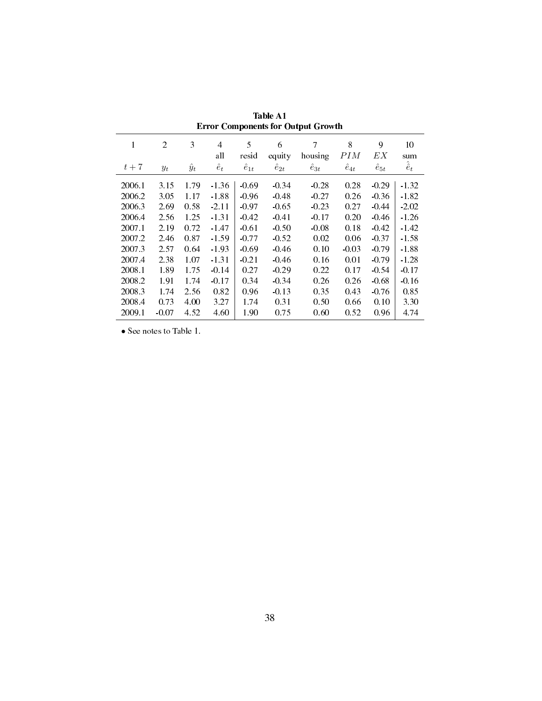|        |         |             |             | л.             |                | л.             |                |                |                   |
|--------|---------|-------------|-------------|----------------|----------------|----------------|----------------|----------------|-------------------|
| 1      | 2       | 3           | 4<br>all    | 5<br>resid     | 6<br>equity    | 7<br>housing   | 8<br>PIM       | 9<br>EX        | 10<br>sum         |
| $t+7$  | $y_t$   | $\hat{y}_t$ | $\hat{e}_t$ | $\hat{e}_{1t}$ | $\hat{e}_{2t}$ | $\hat{e}_{3t}$ | $\hat{e}_{4t}$ | $\hat{e}_{5t}$ | $\hat{\hat{e}}_t$ |
|        |         |             |             |                |                |                |                |                |                   |
| 2006.1 | 3.15    | 1.79        | $-1.36$     | $-0.69$        | $-0.34$        | $-0.28$        | 0.28           | $-0.29$        | $-1.32$           |
| 2006.2 | 3.05    | 1.17        | $-1.88$     | $-0.96$        | $-0.48$        | $-0.27$        | 0.26           | $-0.36$        | $-1.82$           |
| 2006.3 | 2.69    | 0.58        | $-2.11$     | $-0.97$        | $-0.65$        | $-0.23$        | 0.27           | $-0.44$        | $-2.02$           |
| 2006.4 | 2.56    | 1.25        | $-1.31$     | $-0.42$        | $-0.41$        | $-0.17$        | 0.20           | $-0.46$        | $-1.26$           |
| 2007.1 | 2.19    | 0.72        | $-1.47$     | $-0.61$        | $-0.50$        | $-0.08$        | 0.18           | $-0.42$        | $-1.42$           |
| 2007.2 | 2.46    | 0.87        | $-1.59$     | $-0.77$        | $-0.52$        | 0.02           | 0.06           | $-0.37$        | $-1.58$           |
| 2007.3 | 2.57    | 0.64        | $-1.93$     | $-0.69$        | $-0.46$        | 0.10           | $-0.03$        | $-0.79$        | $-1.88$           |
| 2007.4 | 2.38    | 1.07        | $-1.31$     | $-0.21$        | $-0.46$        | 0.16           | 0.01           | $-0.79$        | $-1.28$           |
| 2008.1 | 1.89    | 1.75        | $-0.14$     | 0.27           | $-0.29$        | 0.22           | 0.17           | $-0.54$        | $-0.17$           |
| 2008.2 | 1.91    | 1.74        | $-0.17$     | 0.34           | $-0.34$        | 0.26           | 0.26           | $-0.68$        | $-0.16$           |
| 2008.3 | 1.74    | 2.56        | 0.82        | 0.96           | $-0.13$        | 0.35           | 0.43           | $-0.76$        | 0.85              |
| 2008.4 | 0.73    | 4.00        | 3.27        | 1.74           | 0.31           | 0.50           | 0.66           | 0.10           | 3.30              |
| 2009.1 | $-0.07$ | 4.52        | 4.60        | 1.90           | 0.75           | 0.60           | 0.52           | 0.96           | 4.74              |

Table A1 Error Components for Output Growth

*•* See notes to Table 1.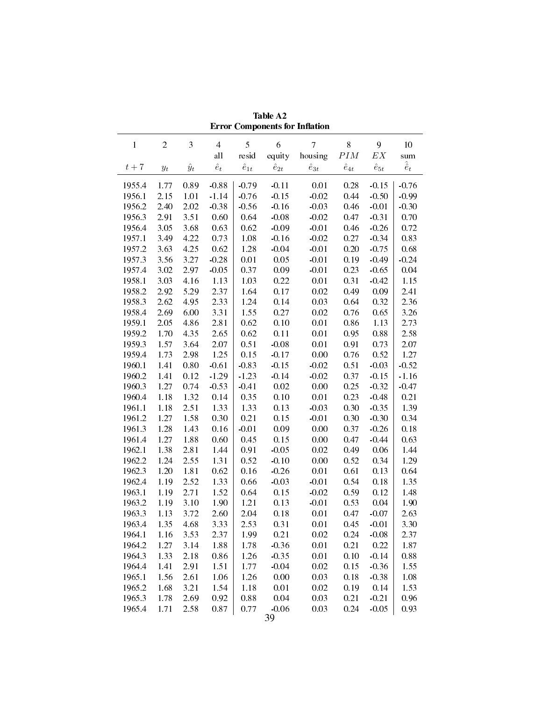|        |                |             |                |                |                | <b>Error Components for Inflation</b> |                |                   |                   |
|--------|----------------|-------------|----------------|----------------|----------------|---------------------------------------|----------------|-------------------|-------------------|
| 1      | $\overline{c}$ | 3           | $\overline{4}$ | 5              | 6              | $\overline{7}$                        | $8\,$          | 9                 | 10                |
|        |                |             | all            | resid          | equity         | housing                               | $\cal{P}IM$    | $\boldsymbol{EX}$ | sum               |
| $t+7$  | $y_t$          | $\hat{y}_t$ | $\hat{e}_t$    | $\hat{e}_{1t}$ | $\hat{e}_{2t}$ | $\hat{e}_{3t}$                        | $\hat{e}_{4t}$ | $\hat{e}_{5t}$    | $\hat{\hat{e}}_t$ |
|        |                |             |                |                |                |                                       |                |                   |                   |
| 1955.4 | 1.77           | 0.89        | $-0.88$        | $-0.79$        | $-0.11$        | 0.01                                  | 0.28           | $-0.15$           | $-0.76$           |
| 1956.1 | 2.15           | 1.01        | $-1.14$        | $-0.76$        | $-0.15$        | $-0.02$                               | 0.44           | $-0.50$           | $-0.99$           |
| 1956.2 | 2.40           | 2.02        | $-0.38$        | $-0.56$        | $-0.16$        | $-0.03$                               | 0.46           | $-0.01$           | $-0.30$           |
| 1956.3 | 2.91           | 3.51        | 0.60           | 0.64           | $-0.08$        | $-0.02$                               | 0.47           | $-0.31$           | 0.70              |
| 1956.4 | 3.05           | 3.68        | 0.63           | 0.62           | $-0.09$        | $-0.01$                               | 0.46           | $-0.26$           | 0.72              |
| 1957.1 | 3.49           | 4.22        | 0.73           | 1.08           | $-0.16$        | $-0.02$                               | 0.27           | $-0.34$           | 0.83              |
| 1957.2 | 3.63           | 4.25        | 0.62           | 1.28           | $-0.04$        | $-0.01$                               | 0.20           | $-0.75$           | 0.68              |
| 1957.3 | 3.56           | 3.27        | $-0.28$        | 0.01           | 0.05           | $-0.01$                               | 0.19           | $-0.49$           | $-0.24$           |
| 1957.4 | 3.02           | 2.97        | $-0.05$        | 0.37           | 0.09           | $-0.01$                               | 0.23           | $-0.65$           | 0.04              |
| 1958.1 | 3.03           | 4.16        | 1.13           | 1.03           | 0.22           | 0.01                                  | 0.31           | $-0.42$           | 1.15              |
| 1958.2 | 2.92           | 5.29        | 2.37           | 1.64           | 0.17           | 0.02                                  | 0.49           | 0.09              | 2.41              |
| 1958.3 | 2.62           | 4.95        | 2.33           | 1.24           | 0.14           | 0.03                                  | 0.64           | 0.32              | 2.36              |
| 1958.4 | 2.69           | 6.00        | 3.31           | 1.55           | 0.27           | 0.02                                  | 0.76           | 0.65              | 3.26              |
| 1959.1 | 2.05           | 4.86        | 2.81           | 0.62           | 0.10           | 0.01                                  | 0.86           | 1.13              | 2.73              |
| 1959.2 | 1.70           | 4.35        | 2.65           | 0.62           | 0.11           | 0.01                                  | 0.95           | 0.88              | 2.58              |
| 1959.3 | 1.57           | 3.64        | 2.07           | 0.51           | $-0.08$        | 0.01                                  | 0.91           | 0.73              | 2.07              |
| 1959.4 | 1.73           | 2.98        | 1.25           | 0.15           | $-0.17$        | 0.00                                  | 0.76           | 0.52              | 1.27              |
| 1960.1 | 1.41           | 0.80        | $-0.61$        | $-0.83$        | $-0.15$        | $-0.02$                               | 0.51           | $-0.03$           | $-0.52$           |
| 1960.2 | 1.41           | 0.12        | $-1.29$        | $-1.23$        | $-0.14$        | $-0.02$                               | 0.37           | $-0.15$           | $-1.16$           |
| 1960.3 | 1.27           | 0.74        | $-0.53$        | $-0.41$        | 0.02           | 0.00                                  | 0.25           | $-0.32$           | $-0.47$           |
| 1960.4 | 1.18           | 1.32        | 0.14           | 0.35           | 0.10           | 0.01                                  | 0.23           | $-0.48$           | 0.21              |
| 1961.1 | 1.18           | 2.51        | 1.33           | 1.33           | 0.13           | $-0.03$                               | 0.30           | $-0.35$           | 1.39              |
| 1961.2 | 1.27           | 1.58        | 0.30           | 0.21           | 0.15           | $-0.01$                               | 0.30           | $-0.30$           | 0.34              |
| 1961.3 | 1.28           | 1.43        | 0.16           | $-0.01$        | 0.09           | 0.00                                  | 0.37           | $-0.26$           | 0.18              |
| 1961.4 | 1.27           | 1.88        | 0.60           | 0.45           | 0.15           | 0.00                                  | 0.47           | $-0.44$           | 0.63              |
| 1962.1 | 1.38           | 2.81        | 1.44           | 0.91           | $-0.05$        | 0.02                                  | 0.49           | 0.06              | 1.44              |
| 1962.2 | 1.24           | 2.55        | 1.31           | 0.52           | $-0.10$        | 0.00                                  | 0.52           | 0.34              | 1.29              |
| 1962.3 | 1.20           | 1.81        | 0.62           | 0.16           | $-0.26$        | 0.01                                  | 0.61           | 0.13              | 0.64              |
| 1962.4 | 1.19           | 2.52        | 1.33           | 0.66           | $-0.03$        | $-0.01$                               | 0.54           | 0.18              | 1.35              |
| 1963.1 | 1.19           | 2.71        | 1.52           | 0.64           | 0.15           | $-0.02$                               | 0.59           | 0.12              | 1.48              |
| 1963.2 | 1.19           | 3.10        | 1.90           | 1.21           | 0.13           | $-0.01$                               | 0.53           | 0.04              | 1.90              |
| 1963.3 | 1.13           | 3.72        | 2.60           | 2.04           | 0.18           | 0.01                                  | 0.47           | $-0.07$           | 2.63              |
| 1963.4 | 1.35           | 4.68        | 3.33           | 2.53           | 0.31           | 0.01                                  | 0.45           | $-0.01$           | 3.30              |
| 1964.1 | 1.16           | 3.53        | 2.37           | 1.99           | 0.21           | 0.02                                  | 0.24           | $-0.08$           | 2.37              |
| 1964.2 | 1.27           | 3.14        | 1.88           | 1.78           | $-0.36$        | 0.01                                  | 0.21           | 0.22              | 1.87              |
| 1964.3 | 1.33           | 2.18        | 0.86           | 1.26           | $-0.35$        | 0.01                                  | 0.10           | $-0.14$           | 0.88              |
| 19644  | 1.41           | 2.91        | 1.51           | 1.77           | $-0.04$        | 0.02                                  | 0.15           | $-0.36$           | 1.55              |
| 1965.1 | 1.56           | 2.61        | 1.06           | 1.26           | 0.00           | 0.03                                  | 0.18           | $-0.38$           | 1.08              |
| 1965.2 | 1.68           | 3.21        | 1.54           | 1.18           | 0.01           | 0.02                                  | 0.19           | 0.14              | 1.53              |
| 1965.3 | 1.78           | 2.69        | 0.92           | 0.88           | 0.04           | 0.03                                  | 0.21           | $-0.21$           | 0.96              |
| 1965.4 | 1.71           | 2.58        | 0.87           | 0.77           | $-0.06$        | 0.03                                  | 0.24           | $-0.05$           | 0.93              |
|        |                |             |                |                |                |                                       |                |                   |                   |

Table A2 **Error Components for Inflation**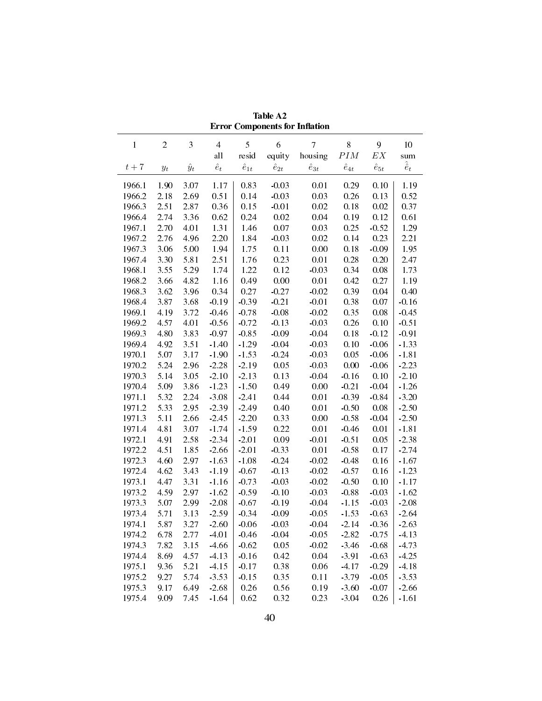|        |                  |             |                |                |                | <b>Error Components for Inflation</b> |                |                   |                   |
|--------|------------------|-------------|----------------|----------------|----------------|---------------------------------------|----------------|-------------------|-------------------|
| 1      | $\boldsymbol{2}$ | 3           | $\overline{4}$ | 5              | 6              | $\overline{7}$                        | $8\,$          | 9                 | 10                |
|        |                  |             | all            | resid          | equity         | housing                               | $\cal{P}IM$    | $\boldsymbol{EX}$ | sum               |
| $t+7$  | $y_t$            | $\hat{y}_t$ | $\hat{e}_t$    | $\hat{e}_{1t}$ | $\hat{e}_{2t}$ | $\hat{e}_{3t}$                        | $\hat{e}_{4t}$ | $\hat{e}_{5t}$    | $\hat{\hat{e}}_t$ |
| 1966.1 | 1.90             | 3.07        | 1.17           | 0.83           | $-0.03$        | 0.01                                  | 0.29           | 0.10              | 1.19              |
| 1966.2 | 2.18             | 2.69        | 0.51           | 0.14           | $-0.03$        | 0.03                                  | 0.26           | 0.13              | 0.52              |
| 1966.3 | 2.51             | 2.87        | 0.36           | 0.15           | $-0.01$        | 0.02                                  | 0.18           | 0.02              | 0.37              |
| 1966.4 | 2.74             | 3.36        | 0.62           | 0.24           | 0.02           | 0.04                                  | 0.19           | 0.12              | 0.61              |
| 1967.1 | 2.70             | 4.01        | 1.31           | 1.46           | 0.07           | 0.03                                  | 0.25           | $-0.52$           | 1.29              |
| 1967.2 | 2.76             | 4.96        | 2.20           | 1.84           | $-0.03$        | 0.02                                  | 0.14           | 0.23              | 2.21              |
| 1967.3 | 3.06             | 5.00        | 1.94           | 1.75           | 0.11           | $0.00\,$                              | 0.18           | $-0.09$           | 1.95              |
| 1967.4 | 3.30             | 5.81        | 2.51           | 1.76           | 0.23           | 0.01                                  | 0.28           | 0.20              | 2.47              |
| 1968.1 | 3.55             | 5.29        | 1.74           | 1.22           | 0.12           | $-0.03$                               | 0.34           | 0.08              | 1.73              |
| 1968.2 | 3.66             | 4.82        | 1.16           | 0.49           | 0.00           | 0.01                                  | 0.42           | 0.27              | 1.19              |
| 1968.3 | 3.62             | 3.96        | 0.34           | 0.27           | $-0.27$        | $-0.02$                               | 0.39           | 0.04              | 0.40              |
| 1968.4 | 3.87             | 3.68        | $-0.19$        | $-0.39$        | $-0.21$        | $-0.01$                               | 0.38           | 0.07              | $-0.16$           |
| 1969.1 | 4.19             | 3.72        | $-0.46$        | $-0.78$        | $-0.08$        | $-0.02$                               | 0.35           | 0.08              | $-0.45$           |
| 1969.2 | 4.57             | 4.01        | $-0.56$        | $-0.72$        | $-0.13$        | $-0.03$                               | 0.26           | 0.10              | $-0.51$           |
| 1969.3 | 4.80             | 3.83        | $-0.97$        | $-0.85$        | $-0.09$        | $-0.04$                               | 0.18           | $-0.12$           | $-0.91$           |
| 1969.4 | 4.92             | 3.51        | $-1.40$        | $-1.29$        | $-0.04$        | $-0.03$                               | 0.10           | $-0.06$           | $-1.33$           |
| 1970.1 | 5.07             | 3.17        | $-1.90$        | $-1.53$        | $-0.24$        | $-0.03$                               | 0.05           | $-0.06$           | $-1.81$           |
| 1970.2 | 5.24             | 2.96        | $-2.28$        | $-2.19$        | 0.05           | $-0.03$                               | 0.00           | $-0.06$           | $-2.23$           |
| 1970.3 | 5.14             | 3.05        | $-2.10$        | $-2.13$        | 0.13           | $-0.04$                               | $-0.16$        | 0.10              | $-2.10$           |
| 19704  | 5.09             | 3.86        | $-1.23$        | $-1.50$        | 0.49           | 0.00                                  | $-0.21$        | $-0.04$           | $-1.26$           |
| 1971.1 | 5.32             | 2.24        | $-3.08$        | $-2.41$        | 0.44           | 0.01                                  | $-0.39$        | $-0.84$           | $-3.20$           |
| 1971.2 | 5.33             | 2.95        | $-2.39$        | $-2.49$        | 0.40           | 0.01                                  | $-0.50$        | 0.08              | $-2.50$           |
| 1971.3 | 5.11             | 2.66        | $-2.45$        | $-2.20$        | 0.33           | 0.00                                  | $-0.58$        | $-0.04$           | $-2.50$           |
| 19714  | 4.81             | 3.07        | $-1.74$        | $-1.59$        | 0.22           | 0.01                                  | $-0.46$        | 0.01              | $-1.81$           |
| 1972.1 | 4.91             | 2.58        | $-2.34$        | $-2.01$        | 0.09           | $-0.01$                               | $-0.51$        | 0.05              | $-2.38$           |
| 1972.2 | 4.51             | 1.85        | $-2.66$        | $-2.01$        | $-0.33$        | 0.01                                  | $-0.58$        | 0.17              | $-2.74$           |
| 1972.3 | 4.60             | 2.97        | $-1.63$        | $-1.08$        | $-0.24$        | $-0.02$                               | $-0.48$        | 0.16              | $-1.67$           |
| 1972.4 | 4.62             | 3.43        | $-1.19$        | $-0.67$        | $-0.13$        | $-0.02$                               | $-0.57$        | 0.16              | $-1.23$           |
| 1973.1 | 4.47             | 3.31        | $-1.16$        | $-0.73$        | $-0.03$        | $-0.02$                               | $-0.50$        | 0.10              | $-1.17$           |
| 1973.2 | 4.59             | 2.97        | $-1.62$        | $-0.59$        | $-0.10$        | $-0.03$                               | $-0.88$        | $-0.03$           | $-1.62$           |
| 1973.3 | 5.07             | 2.99        | $-2.08$        | $-0.67$        | $-0.19$        | $-0.04$                               | $-1.15$        | $-0.03$           | $-2.08$           |
| 1973.4 | 5.71             | 3.13        | $-2.59$        | $-0.34$        | $-0.09$        | $-0.05$                               | $-1.53$        | $-0.63$           | $-2.64$           |
| 1974.1 | 5.87             | 3.27        | $-2.60$        | $-0.06$        | $-0.03$        | $-0.04$                               | $-2.14$        | $-0.36$           | $-2.63$           |
| 1974.2 | 6.78             | 2.77        | $-4.01$        | $-0.46$        | $-0.04$        | $-0.05$                               | $-2.82$        | $-0.75$           | $-4.13$           |
| 1974.3 | 7.82             | 3.15        | $-4.66$        | $-0.62$        | 0.05           | $-0.02$                               | $-3.46$        | $-0.68$           | $-4.73$           |
| 19744  | 8.69             | 4.57        | $-4.13$        | $-0.16$        | 0.42           | 0.04                                  | $-3.91$        | $-0.63$           | $-4.25$           |
| 1975.1 | 9.36             | 5.21        | $-4.15$        | $-0.17$        | 0.38           | 0.06                                  | $-4.17$        | $-0.29$           | $-4.18$           |
| 1975.2 | 9.27             | 5.74        | $-3.53$        | $-0.15$        | 0.35           | 0.11                                  | $-3.79$        | $-0.05$           | $-3.53$           |
| 1975.3 | 9.17             | 6.49        | $-2.68$        | 0.26           | 0.56           | 0.19                                  | $-3.60$        | $-0.07$           | $-2.66$           |
| 1975.4 | 9.09             | 7.45        | $-1.64$        | 0.62           | 0.32           | 0.23                                  | $-3.04$        | 0.26              | $-1.61$           |

Table A2 **Error Components for Inflation**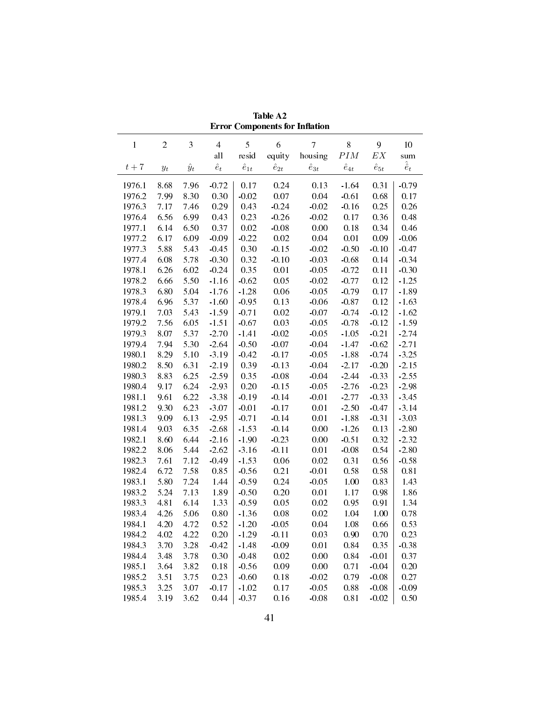|                  | етгог Components for Innation |             |                |                |                |                |                  |                   |                   |
|------------------|-------------------------------|-------------|----------------|----------------|----------------|----------------|------------------|-------------------|-------------------|
| $\mathbf{1}$     | $\overline{c}$                | 3           | $\overline{4}$ | 5              | 6              | $\overline{7}$ | 8<br>$\cal{P}IM$ | 9                 | $10\,$            |
|                  |                               |             | all            | resid          | equity         | housing        |                  | $\boldsymbol{EX}$ | sum               |
| $t+7\,$          | $y_t$                         | $\hat{y}_t$ | $\hat{e}_t$    | $\hat{e}_{1t}$ | $\hat{e}_{2t}$ | $\hat{e}_{3t}$ | $\hat{e}_{4t}$   | $\hat{e}_{5t}$    | $\hat{\hat{e}}_t$ |
| 1976.1           | 8.68                          | 7.96        | $-0.72$        | 0.17           | 0.24           | 0.13           | $-1.64$          | 0.31              | $-0.79$           |
| 1976.2           | 7.99                          | 8.30        | 0.30           | $-0.02$        | $0.07\,$       | 0.04           | $-0.61$          | 0.68              | 0.17              |
| 1976.3           | 7.17                          | 7.46        | 0.29           | 0.43           | $-0.24$        | $-0.02$        | $-0.16$          | 0.25              | 0.26              |
| 1976.4           | 6.56                          | 6.99        | 0.43           | 0.23           | $-0.26$        | $-0.02$        | 0.17             | 0.36              | 0.48              |
| 1977.1           | 6.14                          | 6.50        | 0.37           | $0.02\,$       | $-0.08$        | 0.00           | 0.18             | 0.34              | 0.46              |
| 1977.2           | 6.17                          | 6.09        | $-0.09$        | $-0.22$        | 0.02           | 0.04           | 0.01             | 0.09              | $-0.06$           |
| 1977.3           | 5.88                          | 5.43        | $-0.45$        | 0.30           | $-0.15$        | $-0.02$        | $-0.50$          | $-0.10$           | $-0.47$           |
| 1977.4           | 6.08                          | 5.78        | $-0.30$        | 0.32           | $-0.10$        | $-0.03$        | $-0.68$          | 0.14              | $-0.34$           |
| 1978.1           | 6.26                          | 6.02        | $-0.24$        | 0.35           | 0.01           | $-0.05$        | $-0.72$          | 0.11              | $-0.30$           |
| 1978.2           | 6.66                          | 5.50        | $-1.16$        | $-0.62$        | 0.05           | $-0.02$        | $-0.77$          | 0.12              | $-1.25$           |
| 1978.3           | 6.80                          | 5.04        | $-1.76$        | $-1.28$        | $0.06\,$       | $-0.05$        | $-0.79$          | 0.17              | $-1.89$           |
| 1978.4           | 6.96                          | 5.37        | $-1.60$        | $-0.95$        | 0.13           | $-0.06$        | $-0.87$          | 0.12              | $-1.63$           |
| 1979.1           | 7.03                          | 5.43        | $-1.59$        | $-0.71$        | 0.02           | $-0.07$        | $-0.74$          | $-0.12$           | $-1.62$           |
| 1979.2           | 7.56                          | 6.05        | $-1.51$        | $-0.67$        | 0.03           | $-0.05$        | $-0.78$          | $-0.12$           | $-1.59$           |
| 1979.3           | 8.07                          | 5.37        | $-2.70$        | $-1.41$        | $-0.02$        | $-0.05$        | $-1.05$          | $-0.21$           | $-2.74$           |
| 19794            | 7.94                          | 5.30        | $-2.64$        | $-0.50$        | $-0.07$        | $-0.04$        | $-1.47$          | $-0.62$           | $-2.71$           |
| 1980.1           | 8.29                          | 5.10        | $-3.19$        | $-0.42$        | $-0.17$        | $-0.05$        | $-1.88$          | $-0.74$           | $-3.25$           |
| 1980.2           | 8.50                          | 6.31        | $-2.19$        | 0.39           | $-0.13$        | $-0.04$        | $-2.17$          | $-0.20$           | $-2.15$           |
| 1980.3           | 8.83                          | 6.25        | $-2.59$        | 0.35           | $-0.08$        | $-0.04$        | $-2.44$          | $-0.33$           | $-2.55$           |
| 1980.4           | 9.17                          | 6.24        | $-2.93$        | 0.20           | $-0.15$        | $-0.05$        | $-2.76$          | $-0.23$           | $-2.98$           |
| 1981.1           | 9.61                          | 6.22        | $-3.38$        | $-0.19$        | $-0.14$        | $-0.01$        | $-2.77$          | $-0.33$           | $-3.45$           |
| 1981.2           | 9.30                          | 6.23        | $-3.07$        | $-0.01$        | $-0.17$        | 0.01           | $-2.50$          | $-0.47$           | $-3.14$           |
| 1981.3           | 9.09                          | 6.13        | $-2.95$        | $-0.71$        | $-0.14$        | 0.01           | $-1.88$          | $-0.31$           | $-3.03$           |
| 1981.4           | 9.03                          | 6.35        | $-2.68$        | $-1.53$        | $-0.14$        | 0.00           | $-1.26$          | 0.13              | $-2.80$           |
| 1982.1           | 8.60                          | 6.44        | $-2.16$        | $-1.90$        | $-0.23$        | 0.00           | $-0.51$          | 0.32              | $-2.32$           |
| 1982.2           | 8.06                          | 5.44        | $-2.62$        | $-3.16$        | $-0.11$        | 0.01           | $-0.08$          | 0.54              | $-2.80$           |
| 1982.3           | 7.61                          | 7.12        | $-0.49$        | $-1.53$        | 0.06           | 0.02           | 0.31             | 0.56              | $-0.58$           |
| 1982.4           | 6.72                          | 7.58        | 0.85           | $-0.56$        | 0.21           | $-0.01$        | 0.58             | 0.58              | 0.81              |
| 1983.1           | 5.80                          | 7.24        | 1.44           | $-0.59$        | 0.24           | $-0.05$        | 1.00             | 0.83              | 1.43              |
| 1983.2           | 5.24                          | 7.13        | 1.89           | $-0.50$        | 0.20           | 0.01           | 1.17             | 0.98              | 1.86              |
| 1983.3           | 4.81                          | 6.14        | 1.33           | $-0.59$        | 0.05           | 0.02           | 0.95             | 0.91              | 1.34              |
| 1983.4           | 4.26                          | 5.06        | 0.80           | $-1.36$        | 0.08           | 0.02           | 1.04             | $1.00\,$          | 0.78              |
| 1984 1 4.20 4.72 |                               |             | 0.52           | $-1.20$        | $-0.05$        | 0.04           | 1.08             | 0.66              | 0.53              |
| 1984.2           | 4.02                          | 4.22        | 0.20           | $-1.29$        | $-0.11$        | 0.03           | 0.90             | 0.70              | 0.23              |
| 1984.3           | 3.70                          | 3.28        | $-0.42$        | $-1.48$        | $-0.09$        | 0.01           | 0.84             | 0.35              | $-0.38$           |
| 19844            | 3.48                          | 3.78        | 0.30           | $-0.48$        | 0.02           | 0.00           | 0.84             | $-0.01$           | 0.37              |
| 1985.1           | 3.64                          | 3.82        | 0.18           | $-0.56$        | 0.09           | 0.00           | 0.71             | $-0.04$           | 0.20              |
| 1985.2           | 3.51                          | 3.75        | 0.23           | $-0.60$        | 0.18           | $-0.02$        | 0.79             | $-0.08$           | 0.27              |
| 1985.3           | 3.25                          | 3.07        | $-0.17$        | $-1.02$        | 0.17           | $-0.05$        | 0.88             | $-0.08$           | $-0.09$           |
| 19854            | 3.19                          | 3.62        | 0.44           | $-0.37$        | 0.16           | $-0.08$        | 0.81             | $-0.02$           | 0.50              |
|                  |                               |             |                |                |                |                |                  |                   |                   |

Table A2 **Error Components for Inflation**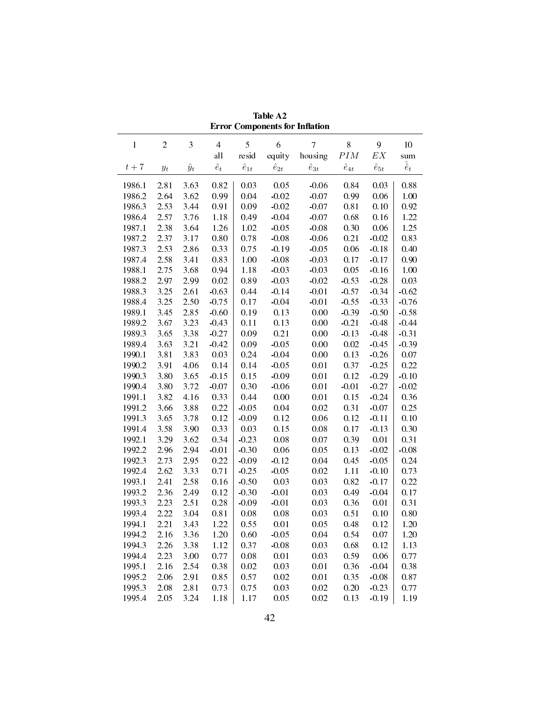|              |            |             |                |                |                | етгог Components for Innation |                |                   |                   |
|--------------|------------|-------------|----------------|----------------|----------------|-------------------------------|----------------|-------------------|-------------------|
| $\mathbf{1}$ | $\sqrt{2}$ | 3           | $\overline{4}$ | 5              | 6              | $\overline{7}$                | 8              | 9                 | $10\,$            |
|              |            |             | all            | resid          | equity         | housing                       | $\cal{P}IM$    | $\boldsymbol{EX}$ | sum               |
| $t+7\,$      | $y_t$      | $\hat{y}_t$ | $\hat{e}_t$    | $\hat{e}_{1t}$ | $\hat{e}_{2t}$ | $\hat{e}_{3t}$                | $\hat{e}_{4t}$ | $\hat{e}_{5t}$    | $\hat{\hat{e}}_t$ |
| 1986.1       | 2.81       | 3.63        | 0.82           | 0.03           | 0.05           | $-0.06$                       | 0.84           | 0.03              | 0.88              |
| 1986.2       | 2.64       | 3.62        | 0.99           | 0.04           | $-0.02$        | $-0.07$                       | 0.99           | 0.06              | 1.00              |
| 1986.3       | 2.53       | 3.44        | 0.91           | 0.09           | $-0.02$        | $-0.07$                       | 0.81           | 0.10              | 0.92              |
| 19864        | 2.57       | 3.76        | 1.18           | 0.49           | $-0.04$        | $-0.07$                       | 0.68           | 0.16              | 1.22              |
| 1987.1       | 2.38       | 3.64        | 1.26           | $1.02\,$       | $-0.05$        | $-0.08$                       | 0.30           | 0.06              | 1.25              |
| 1987.2       | 2.37       | 3.17        | $0.80\,$       | 0.78           | $-0.08$        | $-0.06$                       | 0.21           | $-0.02$           | 0.83              |
| 1987.3       | 2.53       | 2.86        | 0.33           | 0.75           | $-0.19$        | $-0.05$                       | 0.06           | $-0.18$           | 0.40              |
| 1987.4       | 2.58       | 3.41        | 0.83           | $1.00\,$       | $-0.08$        | $-0.03$                       | 0.17           | $-0.17$           | 0.90              |
| 1988.1       | 2.75       | 3.68        | 0.94           | 1.18           | $-0.03$        | $-0.03$                       | 0.05           | $-0.16$           | 1.00              |
| 1988.2       | 2.97       | 2.99        | $0.02\,$       | 0.89           | $-0.03$        | $-0.02$                       | $-0.53$        | $-0.28$           | 0.03              |
| 1988.3       | 3.25       | 2.61        | $-0.63$        | 0.44           | $-0.14$        | $-0.01$                       | $-0.57$        | $-0.34$           | $-0.62$           |
| 1988.4       | 3.25       | 2.50        | $-0.75$        | 0.17           | $-0.04$        | $-0.01$                       | $-0.55$        | $-0.33$           | $-0.76$           |
| 1989.1       | 3.45       | 2.85        | $-0.60$        | 0.19           | 0.13           | 0.00                          | $-0.39$        | $-0.50$           | $-0.58$           |
| 1989.2       | 3.67       | 3.23        | $-0.43$        | 0.11           | 0.13           | $0.00\,$                      | $-0.21$        | $-0.48$           | $-0.44$           |
| 1989.3       | 3.65       | 3.38        | $-0.27$        | 0.09           | 0.21           | $0.00\,$                      | $-0.13$        | $-0.48$           | $-0.31$           |
| 19894        | 3.63       | 3.21        | $-0.42$        | 0.09           | $-0.05$        | $0.00\,$                      | 0.02           | $-0.45$           | $-0.39$           |
| 1990.1       | 3.81       | 3.83        | 0.03           | 0.24           | $-0.04$        | $0.00\,$                      | 0.13           | $-0.26$           | 0.07              |
| 1990.2       | 3.91       | 4.06        | 0.14           | 0.14           | $-0.05$        | 0.01                          | 0.37           | $-0.25$           | 0.22              |
| 1990.3       | 3.80       | 3.65        | $-0.15$        | 0.15           | $-0.09$        | 0.01                          | 0.12           | $-0.29$           | $-0.10$           |
| 1990.4       | 3.80       | 3.72        | $-0.07$        | 0.30           | $-0.06$        | 0.01                          | $-0.01$        | $-0.27$           | $-0.02$           |
| 1991.1       | 3.82       | 4.16        | 0.33           | 0.44           | 0.00           | 0.01                          | 0.15           | $-0.24$           | 0.36              |
| 1991.2       | 3.66       | 3.88        | 0.22           | $-0.05$        | 0.04           | 0.02                          | 0.31           | $-0.07$           | 0.25              |
| 1991.3       | 3.65       | 3.78        | 0.12           | $-0.09$        | 0.12           | 0.06                          | 0.12           | $-0.11$           | 0.10              |
| 19914        | 3.58       | 3.90        | 0.33           | 0.03           | 0.15           | 0.08                          | 0.17           | $-0.13$           | 0.30              |
| 1992.1       | 3.29       | 3.62        | 0.34           | $-0.23$        | 0.08           | 0.07                          | 0.39           | $0.01\,$          | 0.31              |
| 1992.2       | 2.96       | 2.94        | $-0.01$        | $-0.30$        | 0.06           | 0.05                          | 0.13           | $-0.02$           | $-0.08$           |
| 1992.3       | 2.73       | 2.95        | 0.22           | $-0.09$        | $-0.12$        | 0.04                          | 0.45           | $-0.05$           | 0.24              |
| 19924        | 2.62       | 3.33        | 0.71           | $-0.25$        | $-0.05$        | 0.02                          | 1.11           | $-0.10$           | 0.73              |
| 1993.1       | 2.41       | 2.58        | $0.16\,$       | $-0.50$        | 0.03           | 0.03                          | 0.82           | $-0.17$           | 0.22              |
| 1993.2       | 2.36       | 2.49        | 0.12           | $-0.30$        | $-0.01$        | 0.03                          | 0.49           | $-0.04$           | 0.17              |
| 1993.3       | 2.23       | 2.51        | 0.28           | $-0.09$        | $-0.01$        | 0.03                          | 0.36           | 0.01              | 0.31              |
| 1993.4       | 2.22       | 3.04        | 0.81           | 0.08           | 0.08           | 0.03                          | 0.51           | 0.10              | 0.80              |
| 1994 1       | 2.21       | 3.43        | 1.22           | 0.55           | 0.01           | 0.05                          | 0.48           | 0.12              | 1.20              |
| 1994.2       | 2.16       | 3.36        | 1.20           | 0.60           | $-0.05$        | 0.04                          | 0.54           | 0.07              | 1.20              |
| 1994.3       | 2.26       | 3.38        | 1.12           | 0.37           | $-0.08$        | 0.03                          | 0.68           | 0.12              | 1.13              |
| 1994 4       | 2.23       | 3.00        | 0.77           | 0.08           | 0.01           | 0.03                          | 0.59           | 0.06              | 0.77              |
| 1995.1       | 2.16       | 2.54        | 0.38           | 0.02           | 0.03           | $0.01\,$                      | 0.36           | $-0.04$           | 0.38              |
| 1995.2       | 2.06       | 2.91        | 0.85           | 0.57           | 0.02           | $0.01\,$                      | 0.35           | $-0.08$           | 0.87              |
| 1995.3       | 2.08       | 2.81        | 0.73           | 0.75           | 0.03           | 0.02                          | 0.20           | $-0.23$           | 0.77              |
| 1995 4       | 2.05       | 3.24        | 1.18           | 1.17           | 0.05           | 0.02                          | 0.13           | $-0.19$           | 1.19              |
|              |            |             |                |                |                |                               |                |                   |                   |

Table A2 **Error Components for Inflation**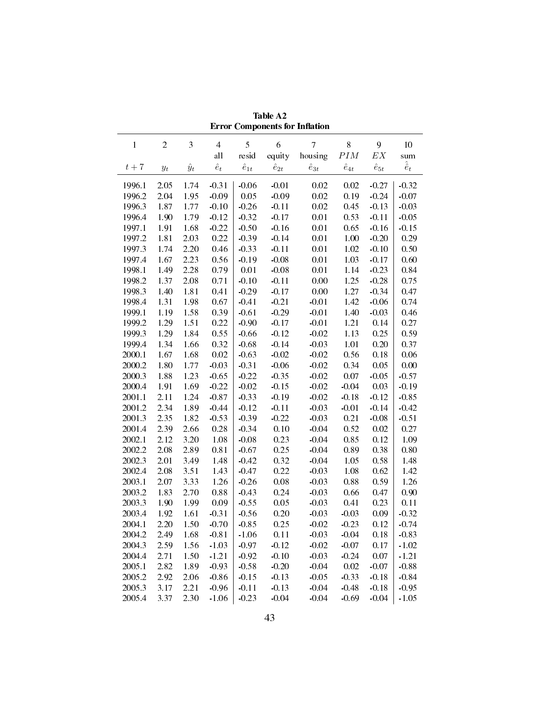|                        |                                                                          |             |                |                |                | Error Components for Innation |                |                |                   |
|------------------------|--------------------------------------------------------------------------|-------------|----------------|----------------|----------------|-------------------------------|----------------|----------------|-------------------|
| 1                      | $\boldsymbol{2}$                                                         | 3           | $\overline{4}$ | 5              | 6              | $\overline{7}$                | 8              | 9              | 10                |
|                        |                                                                          |             | all            | resid          | equity         | housing                       | $\cal{P}IM$    | $\mathbb{E} X$ | sum               |
| $t+7$                  | $y_{t}% \left( t\right) \sim\mathcal{N}_{\varepsilon }\left( t\right) ,$ | $\hat{y}_t$ | $\hat{e}_t$    | $\hat{e}_{1t}$ | $\hat{e}_{2t}$ | $\hat{e}_{3t}$                | $\hat{e}_{4t}$ | $\hat{e}_{5t}$ | $\hat{\hat{e}}_t$ |
| 1996.1                 | 2.05                                                                     | 1.74        | $-0.31$        | $-0.06$        | $-0.01$        | 0.02                          | 0.02           | $-0.27$        | $-0.32$           |
| 1996.2                 | 2.04                                                                     | 1.95        | $-0.09$        | 0.05           | $-0.09$        | 0.02                          | 0.19           | $-0.24$        | $-0.07$           |
| 1996.3                 | 1.87                                                                     | 1.77        | $-0.10$        | $-0.26$        | $-0.11$        | 0.02                          | 0.45           | $-0.13$        | $-0.03$           |
| 1996.4                 | 1.90                                                                     | 1.79        | $-0.12$        | $-0.32$        | $-0.17$        | 0.01                          | 0.53           | $-0.11$        | $-0.05$           |
| 1997.1                 | 1.91                                                                     | 1.68        | $-0.22$        | $-0.50$        | $-0.16$        | 0.01                          | 0.65           | $-0.16$        | $-0.15$           |
| 1997.2                 | 1.81                                                                     | 2.03        | 0.22           | $-0.39$        | $-0.14$        | 0.01                          | 1.00           | $-0.20$        | 0.29              |
| 1997.3                 | 1.74                                                                     | 2.20        | 0.46           | $-0.33$        | $-0.11$        | 0.01                          | 1.02           | $-0.10$        | 0.50              |
| 1997.4                 | 1.67                                                                     | 2.23        | 0.56           | $-0.19$        | $-0.08$        | 0.01                          | 1.03           | $-0.17$        | 0.60              |
| 1998.1                 | 1.49                                                                     | 2.28        | 0.79           | 0.01           | $-0.08$        | 0.01                          | 1.14           | $-0.23$        | 0.84              |
| 1998.2                 | 1.37                                                                     | 2.08        | 0.71           | $-0.10$        | $-0.11$        | 0.00                          | 1.25           | $-0.28$        | 0.75              |
| 1998.3                 | 1.40                                                                     | 1.81        | 0.41           | $-0.29$        | $-0.17$        | 0.00                          | 1.27           | $-0.34$        | 0.47              |
| 1998.4                 | 1.31                                                                     | 1.98        | 0.67           | $-0.41$        | $-0.21$        | $-0.01$                       | 1.42           | $-0.06$        | 0.74              |
| 1999.1                 | 1.19                                                                     | 1.58        | 0.39           | $-0.61$        | $-0.29$        | $-0.01$                       | 1.40           | $-0.03$        | 0.46              |
| 1999.2                 | 1.29                                                                     | 1.51        | 0.22           | $-0.90$        | $-0.17$        | $-0.01$                       | 1.21           | 0.14           | 0.27              |
| 1999.3                 | 1.29                                                                     | 1.84        | 0.55           | $-0.66$        | $-0.12$        | $-0.02$                       | 1.13           | 0.25           | 0.59              |
| 1999.4                 | 1.34                                                                     | 1.66        | 0.32           | $-0.68$        | $-0.14$        | $-0.03$                       | 1.01           | 0.20           | 0.37              |
| 2000.1                 | 1.67                                                                     | 1.68        | 0.02           | $-0.63$        | $-0.02$        | $-0.02$                       | 0.56           | 0.18           | 0.06              |
| 2000.2                 | 1.80                                                                     | 1.77        | $-0.03$        | $-0.31$        | $-0.06$        | $-0.02$                       | 0.34           | 0.05           | 0.00              |
| 2000.3                 | 1.88                                                                     | 1.23        | $-0.65$        | $-0.22$        | $-0.35$        | $-0.02$                       | 0.07           | $-0.05$        | $-0.57$           |
| 2000.4                 | 1.91                                                                     | 1.69        | $-0.22$        | $-0.02$        | $-0.15$        | $-0.02$                       | $-0.04$        | 0.03           | $-0.19$           |
| 2001.1                 | 2.11                                                                     | 1.24        | $-0.87$        | $-0.33$        | $-0.19$        | $-0.02$                       | $-0.18$        | $-0.12$        | $-0.85$           |
| 2001.2                 | 2.34                                                                     | 1.89        | $-0.44$        | $-0.12$        | $-0.11$        | $-0.03$                       | $-0.01$        | $-0.14$        | $-0.42$           |
| 2001.3                 | 2.35                                                                     | 1.82        | $-0.53$        | $-0.39$        | $-0.22$        | $-0.03$                       | 0.21           | $-0.08$        | $-0.51$           |
| 2001.4                 | 2.39                                                                     | 2.66        | 0.28           | $-0.34$        | 0.10           | $-0.04$                       | 0.52           | 0.02           | 0.27              |
| 2002.1                 | 2.12                                                                     | 3.20        | 1.08           | $-0.08$        | 0.23           | $-0.04$                       | 0.85           | 0.12           | 1.09              |
| 2002.2                 | 2.08                                                                     | 2.89        | 0.81           | $-0.67$        | 0.25           | $-0.04$                       | 0.89           | 0.38           | 0.80              |
| 2002.3                 | 2.01                                                                     | 3.49        | 1.48           | $-0.42$        | 0.32           | $-0.04$                       | 1.05           | 0.58           | 1.48              |
| 2002.4                 | 2.08                                                                     | 3.51        | 1.43           | $-0.47$        | 0.22           | $-0.03$                       | 1.08           | 0.62           | 1.42              |
| 2003.1                 | 2.07                                                                     | 3.33        | 1.26           | $-0.26$        | $0.08\,$       | $-0.03$                       | 0.88           | 0.59           | 1.26              |
| 2003.2                 | 1.83                                                                     | 2.70        | 0.88           | $-0.43$        | 0.24           | $-0.03$                       | 0.66           | 0.47           | 0.90              |
| 2003.3                 | 1.90                                                                     | 1.99        | 0.09           | $-0.55$        | 0.05           | $-0.03$                       | 0.41           | 0.23           | 0.11              |
| 2003.4                 | 1.92                                                                     | 1.61        | $-0.31$        | $-0.56$        | 0.20           | $-0.03$                       | $-0.03$        | 0.09           | $-0.32$           |
| 2004.1 2.20 1.50 -0.70 |                                                                          |             |                | $-0.85$        | 0.25           |                               | $-0.02 - 0.23$ | 0.12           | $-0.74$           |
| 2004.2                 | 2.49                                                                     | 1.68        | $-0.81$        | $-1.06$        | 0.11           | $-0.03$                       | $-0.04$        | 0.18           | $-0.83$           |
| 2004.3                 | 2.59                                                                     | 1.56        | $-1.03$        | $-0.97$        | $-0.12$        | $-0.02$                       | $-0.07$        | 0.17           | $-1.02$           |
| 2004.4                 | 2.71                                                                     | 1.50        | $-1.21$        | $-0.92$        | $-0.10$        | $-0.03$                       | $-0.24$        | 0.07           | $-1.21$           |
| 2005.1                 | 2.82                                                                     | 1.89        | $-0.93$        | $-0.58$        | $-0.20$        | $-0.04$                       | 0.02           | $-0.07$        | $-0.88$           |
| 2005.2                 | 2.92                                                                     | 2.06        | $-0.86$        | $-0.15$        | $-0.13$        | $-0.05$                       | $-0.33$        | $-0.18$        | $-0.84$           |
| 2005.3                 | 3.17                                                                     | 2.21        | $-0.96$        | $-0.11$        | $-0.13$        | $-0.04$                       | $-0.48$        | $-0.18$        | $-0.95$           |
| 2005.4                 | 3.37                                                                     | 2.30        | $-1.06$        | $-0.23$        | $-0.04$        | $-0.04$                       | $-0.69$        | $-0.04$        | $-1.05$           |
|                        |                                                                          |             |                |                |                |                               |                |                |                   |

Table A2 **Error Components for Inflation**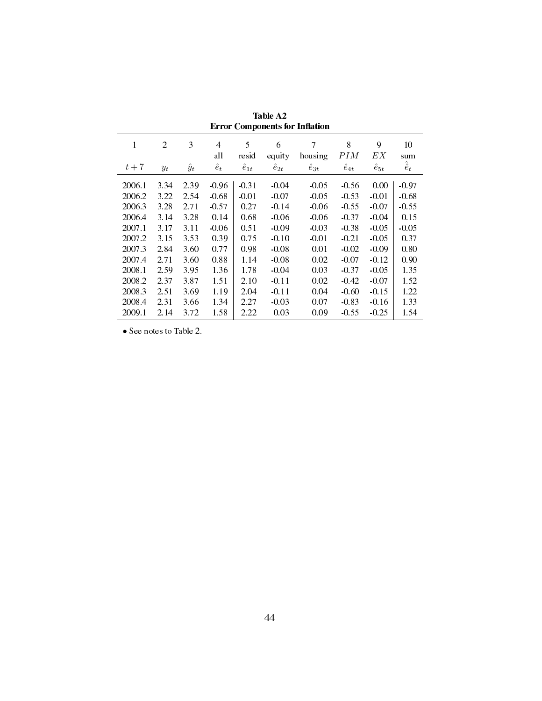| ытог сошронсию гот ишамон                                          |                                                      |                                                      |                                                                  |                                                            |                                                                           |                                                                        |                                                                           |                                                                        |                                                                  |
|--------------------------------------------------------------------|------------------------------------------------------|------------------------------------------------------|------------------------------------------------------------------|------------------------------------------------------------|---------------------------------------------------------------------------|------------------------------------------------------------------------|---------------------------------------------------------------------------|------------------------------------------------------------------------|------------------------------------------------------------------|
| 1                                                                  | $\overline{2}$                                       | 3                                                    | $\overline{4}$<br>all                                            | 5<br>resid                                                 | 6<br>equity                                                               | 7<br>housing                                                           | 8<br>PIM                                                                  | 9<br>EΧ                                                                | 10<br>sum                                                        |
| $t+7$                                                              | $y_t$                                                | $\hat{y}_t$                                          | $\hat{e}_t$                                                      | $\hat{e}_{1t}$                                             | $\hat{e}_{2t}$                                                            | $\hat{e}_{3t}$                                                         | $\hat{e}_{4t}$                                                            | $\hat{e}_{5t}$                                                         | $\hat{\hat{e}}_t$                                                |
| 2006.1<br>2006.2<br>2006.3<br>2006.4<br>2007.1<br>2007.2<br>2007.3 | 3.34<br>3.22<br>3.28<br>3.14<br>3.17<br>3.15<br>2.84 | 2.39<br>2.54<br>2.71<br>3.28<br>3.11<br>3.53<br>3.60 | $-0.96$<br>$-0.68$<br>$-0.57$<br>0.14<br>$-0.06$<br>0.39<br>0.77 | $-0.31$<br>$-0.01$<br>0.27<br>0.68<br>0.51<br>0.75<br>0.98 | $-0.04$<br>$-0.07$<br>$-0.14$<br>$-0.06$<br>$-0.09$<br>$-0.10$<br>$-0.08$ | $-0.05$<br>$-0.05$<br>$-0.06$<br>$-0.06$<br>$-0.03$<br>$-0.01$<br>0.01 | $-0.56$<br>$-0.53$<br>$-0.55$<br>$-0.37$<br>$-0.38$<br>$-0.21$<br>$-0.02$ | 0.00<br>$-0.01$<br>$-0.07$<br>$-0.04$<br>$-0.05$<br>$-0.05$<br>$-0.09$ | $-0.97$<br>$-0.68$<br>$-0.55$<br>0.15<br>$-0.05$<br>0.37<br>0.80 |
| 2007.4                                                             | 2.71                                                 | 3.60                                                 | 0.88                                                             | 1.14                                                       | $-0.08$                                                                   | 0.02                                                                   | $-0.07$                                                                   | $-0.12$                                                                | 0.90                                                             |
| 2008.1<br>2008.2                                                   | 2.59<br>2.37                                         | 3.95<br>3.87                                         | 1.36<br>1.51                                                     | 1.78<br>2.10                                               | $-0.04$<br>$-0.11$                                                        | 0.03<br>0.02                                                           | $-0.37$<br>$-0.42$                                                        | $-0.05$<br>$-0.07$                                                     | 1.35<br>1.52                                                     |
| 2008.3                                                             | 2.51                                                 | 3.69                                                 | 1.19                                                             | 2.04                                                       | $-0.11$                                                                   | 0.04                                                                   | $-0.60$                                                                   | $-0.15$                                                                | 1.22                                                             |
| 2008.4                                                             | 2.31                                                 | 3.66                                                 | 1.34                                                             | 2.27                                                       | $-0.03$                                                                   | 0.07                                                                   | $-0.83$                                                                   | $-0.16$                                                                | 1.33                                                             |
| 2009.1                                                             | 2.14                                                 | 3.72                                                 | 1.58                                                             | 2.22                                                       | 0.03                                                                      | 0.09                                                                   | $-0.55$                                                                   | $-0.25$                                                                | 1.54                                                             |

Table A2 **Error Components for Inflation** 

*•* See notes to Table 2.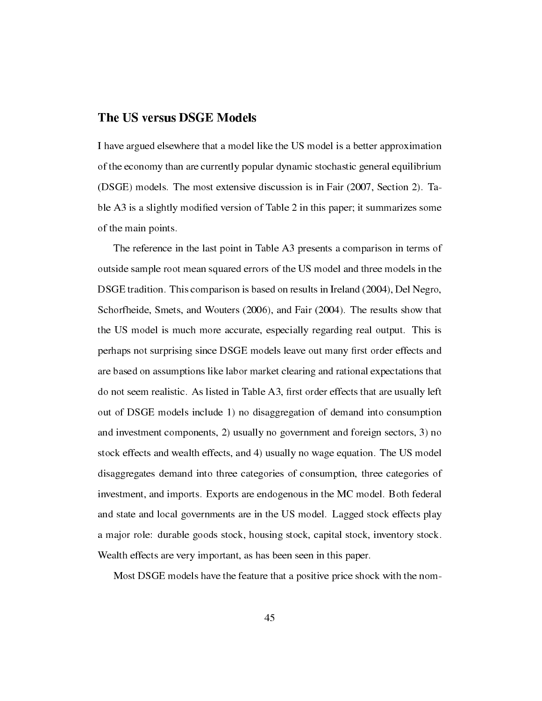## The US versus DSGE Models

I have argued elsewhere that a model like the US model is a better approximation of the economy than are currently popular dynamic stochastic general equilibrium (DSGE) models. The most extensive discussion is in Fair (2007, Section 2). Table A3 is a slightly modified version of Table 2 in this paper; it summarizes some of the main points.

The reference in the last point in Table A3 presents a comparison in terms of outside sample root mean squared errors of the US model and three models in the DSGE tradition. This comparison is based on results in Ireland (2004), Del Negro, Schorfheide, Smets, and Wouters (2006), and Fair (2004). The results show that the US model is much more accurate, especially regarding real output. This is perhaps not surprising since DSGE models leave out many first order effects and are based on assumptions like labor market clearing and rational expectations that do not seem realistic. As listed in Table A3, first order effects that are usually left out of DSGE models include 1) no disaggregation of demand into consumption and investment components, 2) usually no government and foreign sectors, 3) no stock effects and wealth effects, and 4) usually no wage equation. The US model disaggregates demand into three categories of consumption, three categories of investment, and imports. Exports are endogenous in the MC model. Both federal and state and local governments are in the US model. Lagged stock effects play a major role: durable goods stock, housing stock, capital stock, inventory stock. Wealth effects are very important, as has been seen in this paper.

Most DSGE models have the feature that a positive price shock with the nom-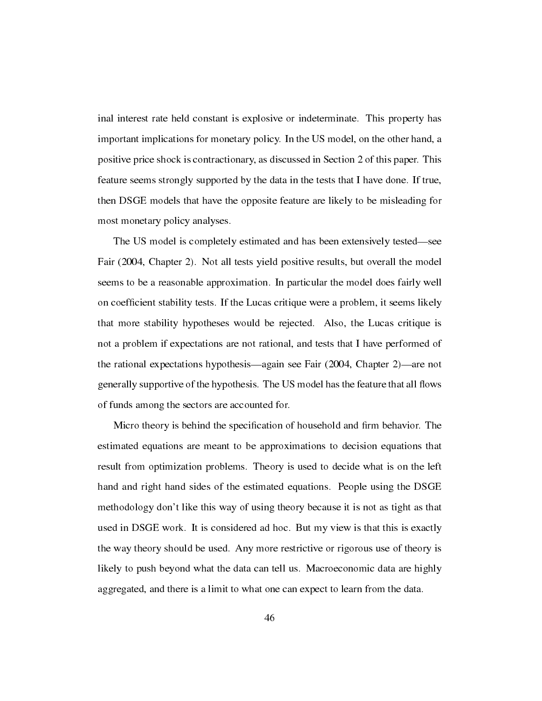inal interest rate held constant is explosive or indeterminate. This property has important implications for monetary policy. In the US model, on the other hand, a positive price shock is contractionary, as discussed in Section 2 of this paper. This feature seems strongly supported by the data in the tests that I have done. If true, then DSGE models that have the opposite feature are likely to be misleading for most monetary policy analyses.

The US model is completely estimated and has been extensively tested—see Fair (2004, Chapter 2). Not all tests yield positive results, but overall the model seems to be a reasonable approximation. In particular the model does fairly well on coefficient stability tests. If the Lucas critique were a problem, it seems likely that more stability hypotheses would be rejected. Also, the Lucas critique is not a problem if expectations are not rational, and tests that I have performed of the rational expectations hypothesis—again see Fair  $(2004, Chapter 2)$ —are not generally supportive of the hypothesis. The US model has the feature that all flows of funds among the sectors are accounted for.

Micro theory is behind the specification of household and firm behavior. The estimated equations are meant to be approximations to decision equations that result from optimization problems. Theory is used to decide what is on the left hand and right hand sides of the estimated equations. People using the DSGE methodology don't like this way of using theory because it is not as tight as that used in DSGE work. It is considered ad hoc. But my view is that this is exactly the way theory should be used. Any more restrictive or rigorous use of theory is likely to push beyond what the data can tell us. Macroeconomic data are highly aggregated, and there is a limit to what one can expect to learn from the data.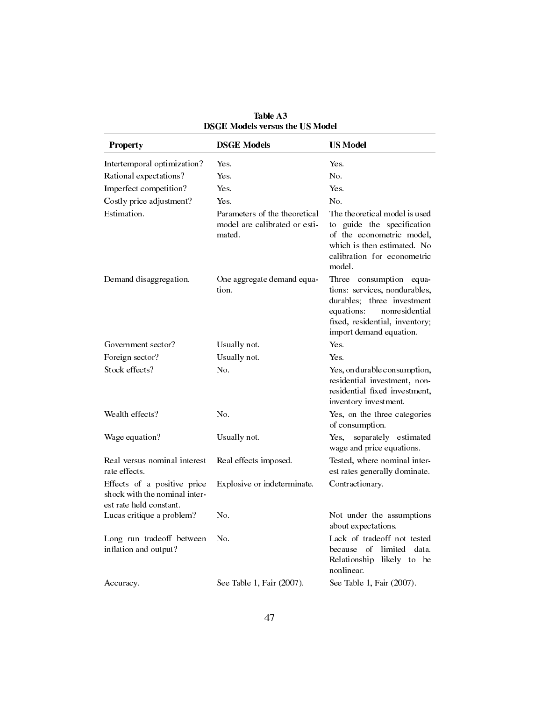| <b>Property</b>                                                                         | <b>DSGE Models</b>                                                       | <b>US Model</b>                                                                                                                                                                        |
|-----------------------------------------------------------------------------------------|--------------------------------------------------------------------------|----------------------------------------------------------------------------------------------------------------------------------------------------------------------------------------|
| Intertemporal optimization?                                                             | Yes.                                                                     | Yes.                                                                                                                                                                                   |
| Rational expectations?                                                                  | Yes.                                                                     | N <sub>0</sub>                                                                                                                                                                         |
| Imperfect competition?                                                                  | Yes.                                                                     | Yes.                                                                                                                                                                                   |
| Costly price adjustment?                                                                | Yes.                                                                     | N <sub>0</sub>                                                                                                                                                                         |
| Estimation.                                                                             | Parameters of the theoretical<br>model are calibrated or esti-<br>mated. | The theoretical model is used<br>to guide the specification<br>of the econometric model,<br>which is then estimated. No<br>calibration for econometric<br>model.                       |
| Demand disaggregation.                                                                  | One aggregate demand equa-<br>tion.                                      | Three consumption<br>equa-<br>tions: services, nondurables,<br>durables; three investment<br>equations:<br>nonresidential<br>fixed, residential, inventory;<br>import demand equation. |
| Government sector?                                                                      | Usually not.                                                             | Yes.                                                                                                                                                                                   |
| Foreign sector?                                                                         | Usually not.                                                             | <b>Yes</b>                                                                                                                                                                             |
| Stock effects?                                                                          | N <sub>0</sub>                                                           | Yes, on durable consumption,<br>residential investment, non-<br>residential fixed investment,<br>inventory investment.                                                                 |
| Wealth effects?                                                                         | No.                                                                      | Yes, on the three categories<br>of consumption.                                                                                                                                        |
| Wage equation?                                                                          | Usually not.                                                             | separately estimated<br>Yes.<br>wage and price equations.                                                                                                                              |
| Real versus nominal interest<br>rate effects.                                           | Real effects imposed.                                                    | Tested, where nominal inter-<br>est rates generally dominate.                                                                                                                          |
| Effects of a positive price<br>shock with the nominal inter-<br>est rate held constant. | Explosive or indeterminate.                                              | Contractionary.                                                                                                                                                                        |
| Lucas critique a problem?                                                               | N <sub>o</sub>                                                           | Not under the assumptions<br>about expectations.                                                                                                                                       |
| Long run tradeoff between<br>inflation and output?                                      | N <sub>0</sub>                                                           | Lack of tradeoff not tested<br>because of<br>limited data.<br>Relationship<br>likely to be<br>nonlinear.                                                                               |
| Accuracy.                                                                               | See Table 1, Fair (2007).                                                | See Table 1, Fair (2007).                                                                                                                                                              |

Table A3 DSGE Models versus the US Model